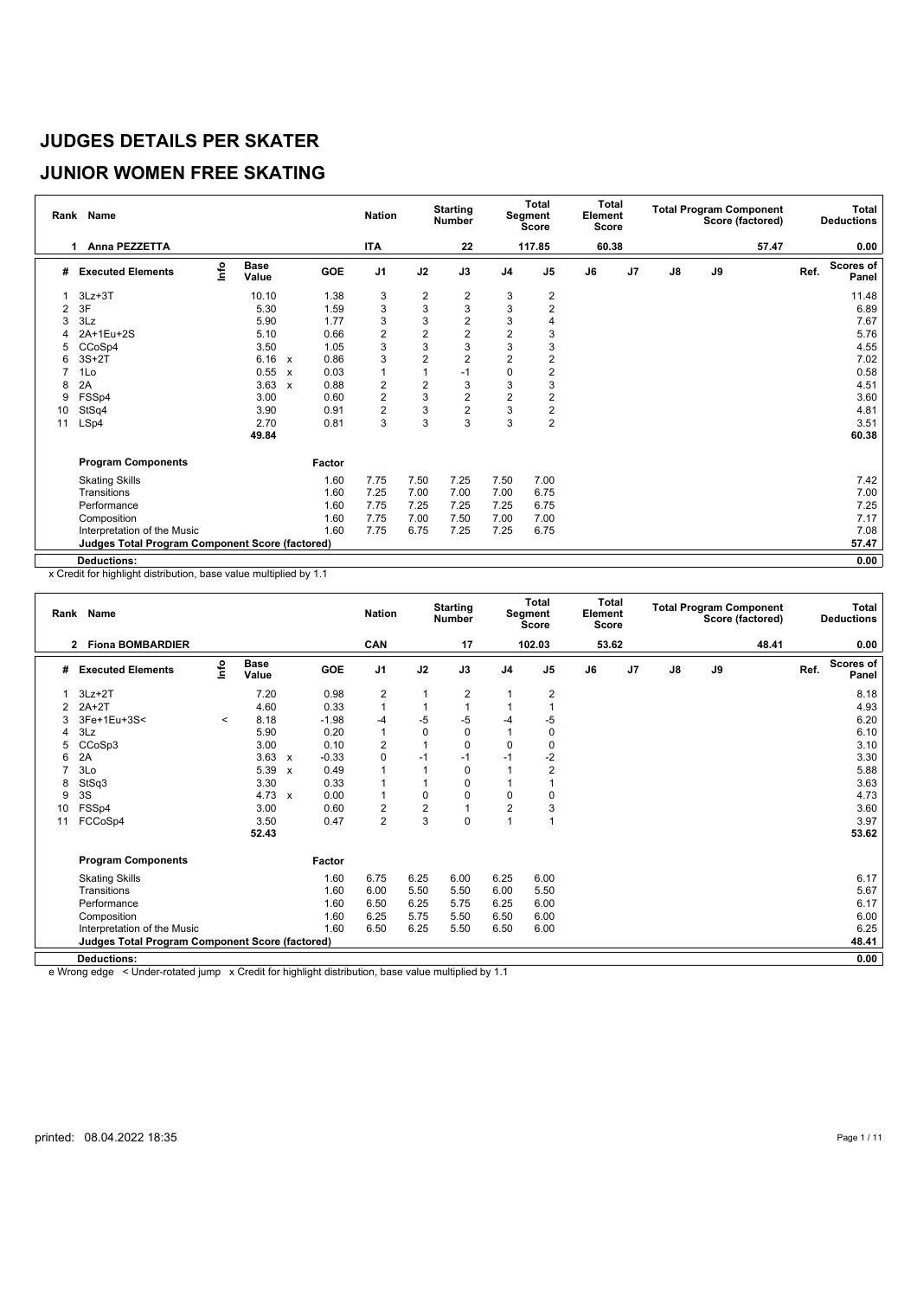# **JUNIOR WOMEN FREE SKATING**

|    | Rank Name                                              |      |                      |                           |            | <b>Nation</b>  |                | <b>Starting</b><br><b>Number</b> |                  | Total<br>Segment<br><b>Score</b> | <b>Total</b><br>Element<br>Score |    |    |    | <b>Total Program Component</b><br>Score (factored) |      | Total<br><b>Deductions</b> |
|----|--------------------------------------------------------|------|----------------------|---------------------------|------------|----------------|----------------|----------------------------------|------------------|----------------------------------|----------------------------------|----|----|----|----------------------------------------------------|------|----------------------------|
|    | Anna PEZZETTA<br>1                                     |      |                      |                           |            | <b>ITA</b>     |                | 22                               |                  | 117.85                           | 60.38                            |    |    |    | 57.47                                              |      | 0.00                       |
| #  | <b>Executed Elements</b>                               | Info | <b>Base</b><br>Value |                           | <b>GOE</b> | J <sub>1</sub> | J2             | J3                               | J <sub>4</sub>   | J <sub>5</sub>                   | J6                               | J7 | J8 | J9 |                                                    | Ref. | <b>Scores of</b><br>Panel  |
|    | $3Lz + 3T$                                             |      | 10.10                |                           | 1.38       | 3              | $\overline{2}$ | $\overline{2}$                   | 3                | 2                                |                                  |    |    |    |                                                    |      | 11.48                      |
| 2  | 3F                                                     |      | 5.30                 |                           | 1.59       | 3              | 3              | 3                                | 3                | $\overline{2}$                   |                                  |    |    |    |                                                    |      | 6.89                       |
| 3  | 3Lz                                                    |      | 5.90                 |                           | 1.77       | 3              | 3              | $\overline{2}$                   | 3                |                                  |                                  |    |    |    |                                                    |      | 7.67                       |
| 4  | 2A+1Eu+2S                                              |      | 5.10                 |                           | 0.66       | $\overline{c}$ | $\overline{2}$ | $\overline{2}$                   | $\overline{2}$   | 3                                |                                  |    |    |    |                                                    |      | 5.76                       |
| 5  | CCoSp4                                                 |      | 3.50                 |                           | 1.05       | 3              | 3              | 3                                | 3                | 3                                |                                  |    |    |    |                                                    |      | 4.55                       |
| 6  | $3S+2T$                                                |      | 6.16                 | $\boldsymbol{\mathsf{x}}$ | 0.86       | 3              | $\overline{2}$ | $\overline{2}$                   | $\overline{2}$   | $\overline{2}$                   |                                  |    |    |    |                                                    |      | 7.02                       |
|    | 1Lo                                                    |      | 0.55                 | $\mathbf{x}$              | 0.03       | 1              | 1              | $-1$                             | 0                | $\overline{2}$                   |                                  |    |    |    |                                                    |      | 0.58                       |
| 8  | 2A                                                     |      | 3.63                 | $\boldsymbol{\mathsf{x}}$ | 0.88       | 2              | $\overline{2}$ | 3                                | 3                | 3                                |                                  |    |    |    |                                                    |      | 4.51                       |
| 9  | FSSp4                                                  |      | 3.00                 |                           | 0.60       | 2              | 3              | $\overline{2}$                   | $\boldsymbol{2}$ | $\overline{2}$                   |                                  |    |    |    |                                                    |      | 3.60                       |
| 10 | StSq4                                                  |      | 3.90                 |                           | 0.91       | 2              | 3              | $\overline{2}$                   | 3                | $\overline{c}$                   |                                  |    |    |    |                                                    |      | 4.81                       |
| 11 | LSp4                                                   |      | 2.70                 |                           | 0.81       | 3              | 3              | 3                                | 3                | $\overline{2}$                   |                                  |    |    |    |                                                    |      | 3.51                       |
|    |                                                        |      | 49.84                |                           |            |                |                |                                  |                  |                                  |                                  |    |    |    |                                                    |      | 60.38                      |
|    | <b>Program Components</b>                              |      |                      |                           | Factor     |                |                |                                  |                  |                                  |                                  |    |    |    |                                                    |      |                            |
|    | <b>Skating Skills</b>                                  |      |                      |                           | 1.60       | 7.75           | 7.50           | 7.25                             | 7.50             | 7.00                             |                                  |    |    |    |                                                    |      | 7.42                       |
|    | Transitions                                            |      |                      |                           | 1.60       | 7.25           | 7.00           | 7.00                             | 7.00             | 6.75                             |                                  |    |    |    |                                                    |      | 7.00                       |
|    | Performance                                            |      |                      |                           | 1.60       | 7.75           | 7.25           | 7.25                             | 7.25             | 6.75                             |                                  |    |    |    |                                                    |      | 7.25                       |
|    | Composition                                            |      |                      |                           | 1.60       | 7.75           | 7.00           | 7.50                             | 7.00             | 7.00                             |                                  |    |    |    |                                                    |      | 7.17                       |
|    | Interpretation of the Music                            |      |                      |                           | 1.60       | 7.75           | 6.75           | 7.25                             | 7.25             | 6.75                             |                                  |    |    |    |                                                    |      | 7.08                       |
|    | <b>Judges Total Program Component Score (factored)</b> |      |                      |                           |            |                |                |                                  |                  |                                  |                                  |    |    |    |                                                    |      | 57.47                      |
|    | <b>Deductions:</b>                                     |      |                      |                           |            |                |                |                                  |                  |                                  |                                  |    |    |    |                                                    |      | 0.00                       |

x Credit for highlight distribution, base value multiplied by 1.1

|    | Rank Name                                              |         |                      |              |         | <b>Nation</b>  |                | <b>Starting</b><br><b>Number</b> |                | <b>Total</b><br>Segment<br><b>Score</b> | Element<br><b>Score</b> | Total |               |    | <b>Total Program Component</b><br>Score (factored) |      | <b>Total</b><br><b>Deductions</b> |
|----|--------------------------------------------------------|---------|----------------------|--------------|---------|----------------|----------------|----------------------------------|----------------|-----------------------------------------|-------------------------|-------|---------------|----|----------------------------------------------------|------|-----------------------------------|
|    | <b>Fiona BOMBARDIER</b><br>2                           |         |                      |              |         | CAN            |                | 17                               |                | 102.03                                  | 53.62                   |       |               |    | 48.41                                              |      | 0.00                              |
| #  | <b>Executed Elements</b>                               | r۴o     | <b>Base</b><br>Value |              | GOE     | J <sub>1</sub> | J2             | J3                               | J <sub>4</sub> | J <sub>5</sub>                          | J6                      | J7    | $\mathsf{J}8$ | J9 |                                                    | Ref. | <b>Scores of</b><br>Panel         |
|    | $3Lz + 2T$                                             |         | 7.20                 |              | 0.98    | 2              | 1              | 2                                | $\mathbf{1}$   | 2                                       |                         |       |               |    |                                                    |      | 8.18                              |
| 2  | $2A+2T$                                                |         | 4.60                 |              | 0.33    | 1              |                |                                  |                |                                         |                         |       |               |    |                                                    |      | 4.93                              |
| 3  | 3Fe+1Eu+3S<                                            | $\,<\,$ | 8.18                 |              | $-1.98$ | $-4$           | -5             | $-5$                             | -4             | -5                                      |                         |       |               |    |                                                    |      | 6.20                              |
|    | 3Lz                                                    |         | 5.90                 |              | 0.20    | 1              | $\mathbf 0$    | $\mathbf 0$                      |                | $\Omega$                                |                         |       |               |    |                                                    |      | 6.10                              |
| 5  | CCoSp3                                                 |         | 3.00                 |              | 0.10    | $\overline{2}$ |                | $\mathbf 0$                      | 0              | 0                                       |                         |       |               |    |                                                    |      | 3.10                              |
| 6  | 2A                                                     |         | 3.63                 | $\mathsf{x}$ | $-0.33$ | 0              | $-1$           | $-1$                             | $-1$           | $-2$                                    |                         |       |               |    |                                                    |      | 3.30                              |
| 7  | 3Lo                                                    |         | 5.39                 | $\mathbf{x}$ | 0.49    | $\mathbf{1}$   | 1              | 0                                |                | $\overline{2}$                          |                         |       |               |    |                                                    |      | 5.88                              |
| 8  | StSq3                                                  |         | 3.30                 |              | 0.33    | 1              |                | $\Omega$                         | 1              |                                         |                         |       |               |    |                                                    |      | 3.63                              |
| 9  | 3S                                                     |         | 4.73                 | $\mathsf{x}$ | 0.00    | $\mathbf{1}$   | $\mathbf 0$    | $\mathbf 0$                      | $\mathbf 0$    | 0                                       |                         |       |               |    |                                                    |      | 4.73                              |
| 10 | FSSp4                                                  |         | 3.00                 |              | 0.60    | $\overline{c}$ | $\overline{2}$ |                                  | $\overline{2}$ | 3                                       |                         |       |               |    |                                                    |      | 3.60                              |
| 11 | FCCoSp4                                                |         | 3.50                 |              | 0.47    | $\overline{2}$ | 3              | $\mathbf 0$                      | $\overline{1}$ |                                         |                         |       |               |    |                                                    |      | 3.97                              |
|    |                                                        |         | 52.43                |              |         |                |                |                                  |                |                                         |                         |       |               |    |                                                    |      | 53.62                             |
|    | <b>Program Components</b>                              |         |                      |              | Factor  |                |                |                                  |                |                                         |                         |       |               |    |                                                    |      |                                   |
|    | <b>Skating Skills</b>                                  |         |                      |              | 1.60    | 6.75           | 6.25           | 6.00                             | 6.25           | 6.00                                    |                         |       |               |    |                                                    |      | 6.17                              |
|    | Transitions                                            |         |                      |              | 1.60    | 6.00           | 5.50           | 5.50                             | 6.00           | 5.50                                    |                         |       |               |    |                                                    |      | 5.67                              |
|    | Performance                                            |         |                      |              | 1.60    | 6.50           | 6.25           | 5.75                             | 6.25           | 6.00                                    |                         |       |               |    |                                                    |      | 6.17                              |
|    | Composition                                            |         |                      |              | 1.60    | 6.25           | 5.75           | 5.50                             | 6.50           | 6.00                                    |                         |       |               |    |                                                    |      | 6.00                              |
|    | Interpretation of the Music                            |         |                      |              | 1.60    | 6.50           | 6.25           | 5.50                             | 6.50           | 6.00                                    |                         |       |               |    |                                                    |      | 6.25                              |
|    | <b>Judges Total Program Component Score (factored)</b> |         |                      |              |         |                |                |                                  |                |                                         |                         |       |               |    |                                                    |      | 48.41                             |
|    | <b>Deductions:</b>                                     |         |                      |              |         |                |                |                                  |                |                                         |                         |       |               |    |                                                    |      | 0.00                              |
|    |                                                        |         |                      |              |         |                |                |                                  |                |                                         |                         |       |               |    |                                                    |      |                                   |

e Wrong edge < Under-rotated jump x Credit for highlight distribution, base value multiplied by 1.1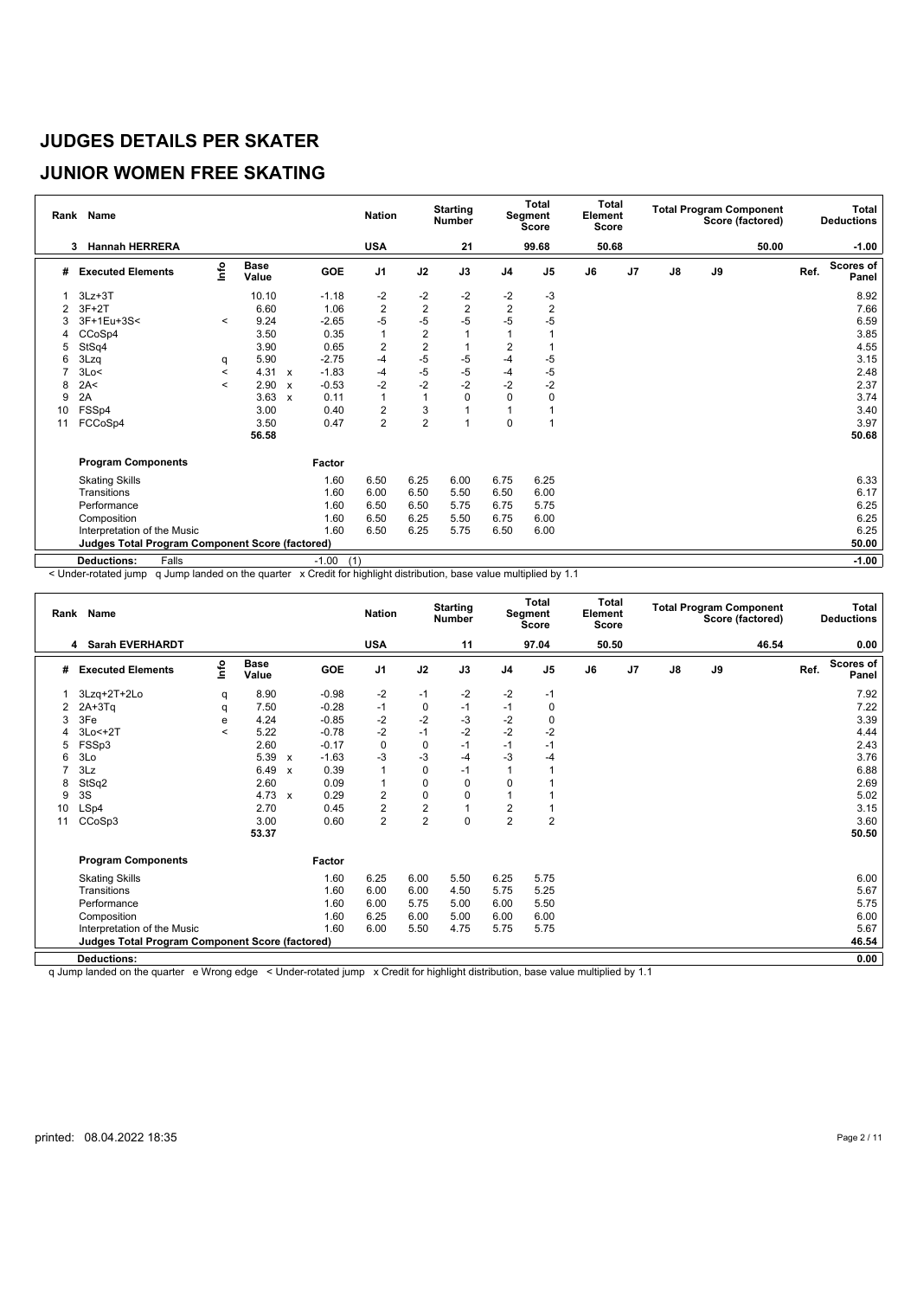# **JUNIOR WOMEN FREE SKATING**

|    | Rank Name                                              |                          |                      |                           |                | <b>Nation</b>  |                | <b>Starting</b><br>Number |                | Total<br>Segment<br>Score | <b>Total</b><br>Element<br><b>Score</b> |                |               |    | <b>Total Program Component</b><br>Score (factored) |      | Total<br><b>Deductions</b> |
|----|--------------------------------------------------------|--------------------------|----------------------|---------------------------|----------------|----------------|----------------|---------------------------|----------------|---------------------------|-----------------------------------------|----------------|---------------|----|----------------------------------------------------|------|----------------------------|
|    | <b>Hannah HERRERA</b><br>3                             |                          |                      |                           |                | <b>USA</b>     |                | 21                        |                | 99.68                     |                                         | 50.68          |               |    | 50.00                                              |      | $-1.00$                    |
| #  | <b>Executed Elements</b>                               | lnfo                     | <b>Base</b><br>Value |                           | GOE            | J <sub>1</sub> | J2             | J3                        | J <sub>4</sub> | J <sub>5</sub>            | J6                                      | J <sub>7</sub> | $\mathsf{J}8$ | J9 |                                                    | Ref. | <b>Scores of</b><br>Panel  |
|    | $3Lz + 3T$                                             |                          | 10.10                |                           | $-1.18$        | -2             | -2             | -2                        | -2             | $-3$                      |                                         |                |               |    |                                                    |      | 8.92                       |
|    | $3F+2T$                                                |                          | 6.60                 |                           | 1.06           | $\overline{2}$ | $\overline{c}$ | $\overline{2}$            | $\overline{2}$ | $\overline{\mathbf{c}}$   |                                         |                |               |    |                                                    |      | 7.66                       |
| 3  | 3F+1Eu+3S<                                             | $\prec$                  | 9.24                 |                           | $-2.65$        | $-5$           | $-5$           | $-5$                      | $-5$           | $-5$                      |                                         |                |               |    |                                                    |      | 6.59                       |
| 4  | CCoSp4                                                 |                          | 3.50                 |                           | 0.35           | $\overline{1}$ | $\overline{2}$ | 1                         |                |                           |                                         |                |               |    |                                                    |      | 3.85                       |
| 5  | StSq4                                                  |                          | 3.90                 |                           | 0.65           | $\overline{2}$ | $\overline{2}$ |                           | 2              |                           |                                         |                |               |    |                                                    |      | 4.55                       |
| 6  | 3Lzq                                                   | q                        | 5.90                 |                           | $-2.75$        | $-4$           | $-5$           | $-5$                      | -4             | $-5$                      |                                         |                |               |    |                                                    |      | 3.15                       |
|    | 3Lo<                                                   | $\overline{\phantom{a}}$ | 4.31                 | $\mathbf{x}$              | $-1.83$        | $-4$           | $-5$           | $-5$                      | -4             | $-5$                      |                                         |                |               |    |                                                    |      | 2.48                       |
| 8  | 2A<                                                    | $\prec$                  | 2.90                 | $\mathbf{x}$              | $-0.53$        | $-2$           | $-2$           | $-2$                      | $-2$           | $-2$                      |                                         |                |               |    |                                                    |      | 2.37                       |
| 9  | 2A                                                     |                          | 3.63                 | $\boldsymbol{\mathsf{x}}$ | 0.11           | $\overline{1}$ |                | 0                         | 0              | 0                         |                                         |                |               |    |                                                    |      | 3.74                       |
| 10 | FSSp4                                                  |                          | 3.00                 |                           | 0.40           | $\overline{2}$ | 3              | $\overline{1}$            | 1              |                           |                                         |                |               |    |                                                    |      | 3.40                       |
| 11 | FCCoSp4                                                |                          | 3.50                 |                           | 0.47           | $\overline{2}$ | $\overline{2}$ | 4                         | 0              |                           |                                         |                |               |    |                                                    |      | 3.97                       |
|    |                                                        |                          | 56.58                |                           |                |                |                |                           |                |                           |                                         |                |               |    |                                                    |      | 50.68                      |
|    | <b>Program Components</b>                              |                          |                      |                           | Factor         |                |                |                           |                |                           |                                         |                |               |    |                                                    |      |                            |
|    | <b>Skating Skills</b>                                  |                          |                      |                           | 1.60           | 6.50           | 6.25           | 6.00                      | 6.75           | 6.25                      |                                         |                |               |    |                                                    |      | 6.33                       |
|    | Transitions                                            |                          |                      |                           | 1.60           | 6.00           | 6.50           | 5.50                      | 6.50           | 6.00                      |                                         |                |               |    |                                                    |      | 6.17                       |
|    | Performance                                            |                          |                      |                           | 1.60           | 6.50           | 6.50           | 5.75                      | 6.75           | 5.75                      |                                         |                |               |    |                                                    |      | 6.25                       |
|    | Composition                                            |                          |                      |                           | 1.60           | 6.50           | 6.25           | 5.50                      | 6.75           | 6.00                      |                                         |                |               |    |                                                    |      | 6.25                       |
|    | Interpretation of the Music                            |                          |                      |                           | 1.60           | 6.50           | 6.25           | 5.75                      | 6.50           | 6.00                      |                                         |                |               |    |                                                    |      | 6.25                       |
|    | <b>Judges Total Program Component Score (factored)</b> |                          |                      |                           |                |                |                |                           |                |                           |                                         |                |               |    |                                                    |      | 50.00                      |
|    | <b>Deductions:</b><br>Falls                            |                          |                      |                           | $-1.00$<br>(1) |                |                |                           |                |                           |                                         |                |               |    |                                                    |      | $-1.00$                    |

< Under-rotated jump q Jump landed on the quarter x Credit for highlight distribution, base value multiplied by 1.1

| Rank | <b>Name</b>                                            |                |                      |                           |               | <b>Nation</b>  |                | <b>Starting</b><br><b>Number</b> |                | <b>Total</b><br>Segment<br>Score | Total<br>Element<br><b>Score</b> |    |               |    | <b>Total Program Component</b><br>Score (factored) |      | Total<br><b>Deductions</b> |
|------|--------------------------------------------------------|----------------|----------------------|---------------------------|---------------|----------------|----------------|----------------------------------|----------------|----------------------------------|----------------------------------|----|---------------|----|----------------------------------------------------|------|----------------------------|
|      | <b>Sarah EVERHARDT</b><br>4                            |                |                      |                           |               | <b>USA</b>     |                | 11                               |                | 97.04                            | 50.50                            |    |               |    | 46.54                                              |      | 0.00                       |
| #    | <b>Executed Elements</b>                               | lnfo           | <b>Base</b><br>Value |                           | GOE           | J <sub>1</sub> | J2             | J3                               | J <sub>4</sub> | J <sub>5</sub>                   | J6                               | J7 | $\mathsf{J}8$ | J9 |                                                    | Ref. | <b>Scores of</b><br>Panel  |
|      | 3Lzq+2T+2Lo                                            | q              | 8.90                 |                           | $-0.98$       | $-2$           | $-1$           | $-2$                             | $-2$           | -1                               |                                  |    |               |    |                                                    |      | 7.92                       |
| 2    | $2A+3Tq$                                               | q              | 7.50                 |                           | $-0.28$       | $-1$           | 0              | $-1$                             | $-1$           | 0                                |                                  |    |               |    |                                                    |      | 7.22                       |
| 3    | 3Fe                                                    | е              | 4.24                 |                           | $-0.85$       | -2             | $-2$           | $-3$                             | $-2$           | 0                                |                                  |    |               |    |                                                    |      | 3.39                       |
|      | $3Lo < +2T$                                            | $\overline{a}$ | 5.22                 |                           | $-0.78$       | $-2$           | $-1$           | $-2$                             | $-2$           | $-2$                             |                                  |    |               |    |                                                    |      | 4.44                       |
| 5    | FSSp3                                                  |                | 2.60                 |                           | $-0.17$       | $\mathbf 0$    | 0              | $-1$                             | $-1$           | $-1$                             |                                  |    |               |    |                                                    |      | 2.43                       |
| 6    | 3Lo                                                    |                | 5.39                 | $\mathsf{x}$              | $-1.63$       | -3             | $-3$           | $-4$                             | $-3$           | $-4$                             |                                  |    |               |    |                                                    |      | 3.76                       |
|      | 3Lz                                                    |                | 6.49                 | $\boldsymbol{\mathsf{x}}$ | 0.39          | 1              | $\mathbf 0$    | $-1$                             |                |                                  |                                  |    |               |    |                                                    |      | 6.88                       |
| 8    | StSq2                                                  |                | 2.60                 |                           | 0.09          |                | $\pmb{0}$      | $\mathbf 0$                      | 0              |                                  |                                  |    |               |    |                                                    |      | 2.69                       |
| 9    | 3S                                                     |                | 4.73                 | $\mathsf{x}$              | 0.29          | $\overline{2}$ | $\mathbf 0$    | $\Omega$                         |                |                                  |                                  |    |               |    |                                                    |      | 5.02                       |
| 10   | LSp4                                                   |                | 2.70                 |                           | 0.45          | $\overline{2}$ | $\overline{2}$ | $\overline{1}$                   | $\overline{c}$ |                                  |                                  |    |               |    |                                                    |      | 3.15                       |
| 11   | CCoSp3                                                 |                | 3.00                 |                           | 0.60          | $\overline{2}$ | $\overline{2}$ | $\Omega$                         | $\overline{2}$ | $\overline{2}$                   |                                  |    |               |    |                                                    |      | 3.60                       |
|      |                                                        |                | 53.37                |                           |               |                |                |                                  |                |                                  |                                  |    |               |    |                                                    |      | 50.50                      |
|      | <b>Program Components</b>                              |                |                      |                           | <b>Factor</b> |                |                |                                  |                |                                  |                                  |    |               |    |                                                    |      |                            |
|      | <b>Skating Skills</b>                                  |                |                      |                           | 1.60          | 6.25           | 6.00           | 5.50                             | 6.25           | 5.75                             |                                  |    |               |    |                                                    |      | 6.00                       |
|      | Transitions                                            |                |                      |                           | 1.60          | 6.00           | 6.00           | 4.50                             | 5.75           | 5.25                             |                                  |    |               |    |                                                    |      | 5.67                       |
|      | Performance                                            |                |                      |                           | 1.60          | 6.00           | 5.75           | 5.00                             | 6.00           | 5.50                             |                                  |    |               |    |                                                    |      | 5.75                       |
|      | Composition                                            |                |                      |                           | 1.60          | 6.25           | 6.00           | 5.00                             | 6.00           | 6.00                             |                                  |    |               |    |                                                    |      | 6.00                       |
|      | Interpretation of the Music                            |                |                      |                           | 1.60          | 6.00           | 5.50           | 4.75                             | 5.75           | 5.75                             |                                  |    |               |    |                                                    |      | 5.67                       |
|      | <b>Judges Total Program Component Score (factored)</b> |                |                      |                           |               |                |                |                                  |                |                                  |                                  |    |               |    |                                                    |      | 46.54                      |
|      | <b>Deductions:</b>                                     |                |                      |                           |               |                |                |                                  |                |                                  |                                  |    |               |    |                                                    |      | 0.00                       |

q Jump landed on the quarter e Wrong edge < Under-rotated jump x Credit for highlight distribution, base value multiplied by 1.1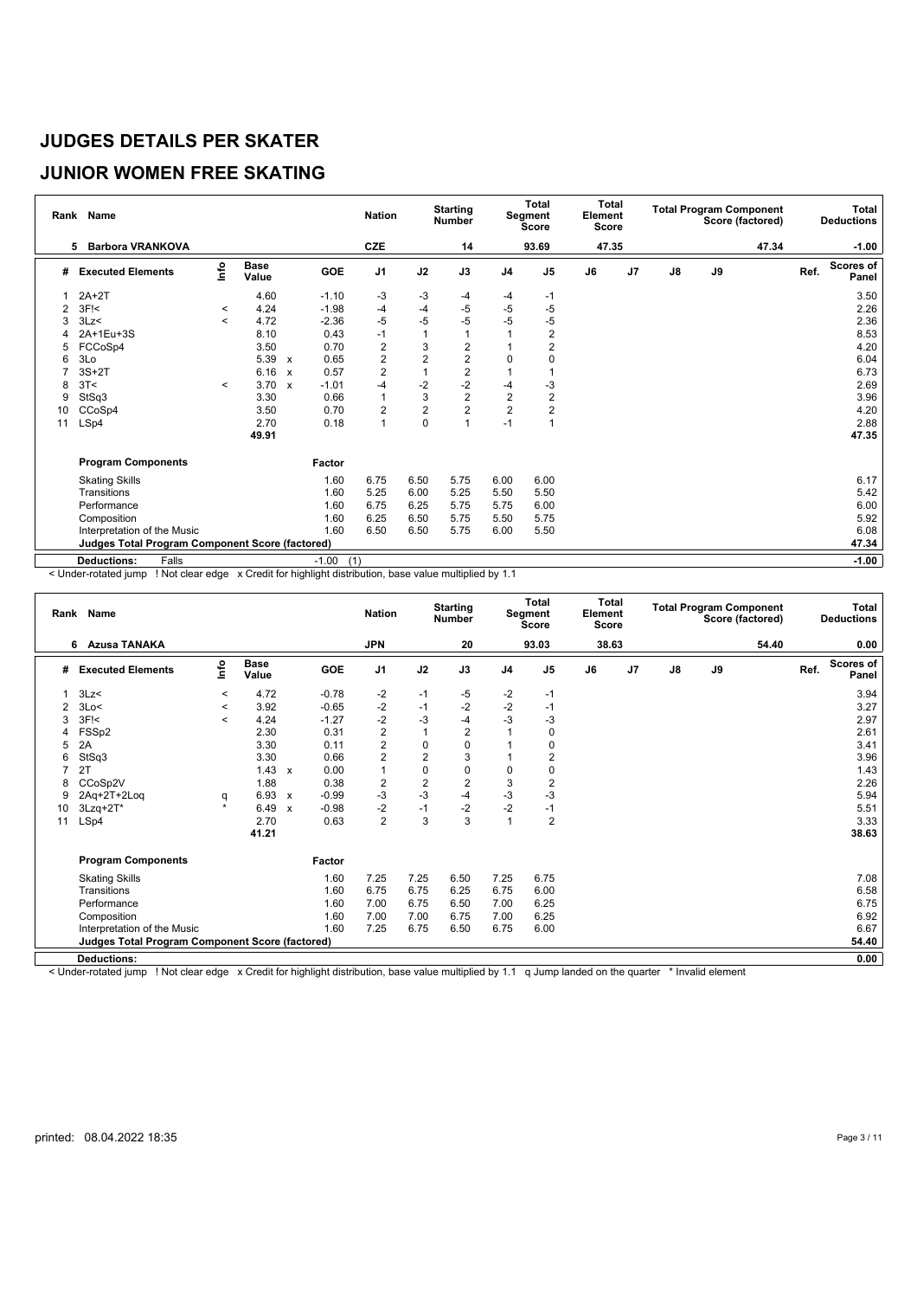## **JUNIOR WOMEN FREE SKATING**

|    | Rank Name                                       |                          |                      |                           |                | <b>Nation</b>    |                | <b>Starting</b><br><b>Number</b> |                | Total<br>Segment<br>Score | <b>Total</b><br>Element<br><b>Score</b> |    |               |    | <b>Total Program Component</b><br>Score (factored) |      | Total<br><b>Deductions</b> |
|----|-------------------------------------------------|--------------------------|----------------------|---------------------------|----------------|------------------|----------------|----------------------------------|----------------|---------------------------|-----------------------------------------|----|---------------|----|----------------------------------------------------|------|----------------------------|
|    | <b>Barbora VRANKOVA</b><br>5                    |                          |                      |                           |                | CZE              |                | 14                               |                | 93.69                     | 47.35                                   |    |               |    | 47.34                                              |      | $-1.00$                    |
| #  | <b>Executed Elements</b>                        | lnfo                     | <b>Base</b><br>Value |                           | GOE            | J <sub>1</sub>   | J2             | J3                               | J <sub>4</sub> | J <sub>5</sub>            | J6                                      | J7 | $\mathsf{J}8$ | J9 |                                                    | Ref. | <b>Scores of</b><br>Panel  |
|    | $2A+2T$                                         |                          | 4.60                 |                           | $-1.10$        | $-3$             | -3             | -4                               | -4             | $-1$                      |                                         |    |               |    |                                                    |      | 3.50                       |
| 2  | 3F <sub>1</sub>                                 | $\,<\,$                  | 4.24                 |                           | $-1.98$        | -4               | $-4$           | $-5$                             | -5             | $-5$                      |                                         |    |               |    |                                                    |      | 2.26                       |
| 3  | 3Lz<                                            | $\overline{\phantom{a}}$ | 4.72                 |                           | $-2.36$        | -5               | $-5$           | -5                               | -5             | $-5$                      |                                         |    |               |    |                                                    |      | 2.36                       |
|    | 2A+1Eu+3S                                       |                          | 8.10                 |                           | 0.43           | $-1$             |                | 1                                |                | $\overline{2}$            |                                         |    |               |    |                                                    |      | 8.53                       |
| 5  | FCCoSp4                                         |                          | 3.50                 |                           | 0.70           | $\boldsymbol{2}$ | 3              | $\overline{\mathbf{c}}$          |                | $\overline{2}$            |                                         |    |               |    |                                                    |      | 4.20                       |
| 6  | 3Lo                                             |                          | 5.39                 | $\boldsymbol{\mathsf{x}}$ | 0.65           | $\overline{2}$   | 2              | $\overline{2}$                   | $\Omega$       | O                         |                                         |    |               |    |                                                    |      | 6.04                       |
|    | $3S+2T$                                         |                          | 6.16                 | $\mathbf{x}$              | 0.57           | $\overline{2}$   |                | $\overline{2}$                   |                |                           |                                         |    |               |    |                                                    |      | 6.73                       |
| 8  | 3T<                                             | $\,<\,$                  | 3.70                 | $\mathbf{x}$              | $-1.01$        | $-4$             | $-2$           | $-2$                             | -4             | $-3$                      |                                         |    |               |    |                                                    |      | 2.69                       |
| 9  | StSq3                                           |                          | 3.30                 |                           | 0.66           | $\overline{1}$   | 3              | $\overline{2}$                   | $\overline{2}$ | $\overline{2}$            |                                         |    |               |    |                                                    |      | 3.96                       |
| 10 | CCoSp4                                          |                          | 3.50                 |                           | 0.70           | $\overline{2}$   | $\overline{2}$ | $\overline{2}$                   | $\overline{2}$ | 2                         |                                         |    |               |    |                                                    |      | 4.20                       |
| 11 | LSp4                                            |                          | 2.70                 |                           | 0.18           | $\overline{1}$   | 0              | 1                                | $-1$           |                           |                                         |    |               |    |                                                    |      | 2.88                       |
|    |                                                 |                          | 49.91                |                           |                |                  |                |                                  |                |                           |                                         |    |               |    |                                                    |      | 47.35                      |
|    | <b>Program Components</b>                       |                          |                      |                           | Factor         |                  |                |                                  |                |                           |                                         |    |               |    |                                                    |      |                            |
|    | <b>Skating Skills</b>                           |                          |                      |                           | 1.60           | 6.75             | 6.50           | 5.75                             | 6.00           | 6.00                      |                                         |    |               |    |                                                    |      | 6.17                       |
|    | Transitions                                     |                          |                      |                           | 1.60           | 5.25             | 6.00           | 5.25                             | 5.50           | 5.50                      |                                         |    |               |    |                                                    |      | 5.42                       |
|    | Performance                                     |                          |                      |                           | 1.60           | 6.75             | 6.25           | 5.75                             | 5.75           | 6.00                      |                                         |    |               |    |                                                    |      | 6.00                       |
|    | Composition                                     |                          |                      |                           | 1.60           | 6.25             | 6.50           | 5.75                             | 5.50           | 5.75                      |                                         |    |               |    |                                                    |      | 5.92                       |
|    | Interpretation of the Music                     |                          |                      |                           | 1.60           | 6.50             | 6.50           | 5.75                             | 6.00           | 5.50                      |                                         |    |               |    |                                                    |      | 6.08                       |
|    | Judges Total Program Component Score (factored) |                          |                      |                           |                |                  |                |                                  |                |                           |                                         |    |               |    |                                                    |      | 47.34                      |
|    | Falls<br><b>Deductions:</b>                     |                          |                      |                           | $-1.00$<br>(1) |                  |                |                                  |                |                           |                                         |    |               |    |                                                    |      | $-1.00$                    |

< Under-rotated jump ! Not clear edge x Credit for highlight distribution, base value multiplied by 1.1

|    | Rank Name                                              |                          |                      |                           |         | <b>Nation</b>  |                | <b>Starting</b><br><b>Number</b> |                | Total<br>Segment<br><b>Score</b> | Element<br><b>Score</b> | Total |               |    | <b>Total Program Component</b><br>Score (factored) |      | Total<br><b>Deductions</b> |
|----|--------------------------------------------------------|--------------------------|----------------------|---------------------------|---------|----------------|----------------|----------------------------------|----------------|----------------------------------|-------------------------|-------|---------------|----|----------------------------------------------------|------|----------------------------|
|    | 6 Azusa TANAKA                                         |                          |                      |                           |         | <b>JPN</b>     |                | 20                               |                | 93.03                            |                         | 38.63 |               |    | 54.40                                              |      | 0.00                       |
| #  | <b>Executed Elements</b>                               | lnfo                     | <b>Base</b><br>Value |                           | GOE     | J <sub>1</sub> | J2             | J3                               | J <sub>4</sub> | J5                               | J6                      | J7    | $\mathsf{J}8$ | J9 |                                                    | Ref. | <b>Scores of</b><br>Panel  |
|    | 3Lz<                                                   | $\prec$                  | 4.72                 |                           | $-0.78$ | $-2$           | $-1$           | -5                               | -2             | $-1$                             |                         |       |               |    |                                                    |      | 3.94                       |
| 2  | 3Lo<                                                   | $\,<\,$                  | 3.92                 |                           | $-0.65$ | $-2$           | $-1$           | $-2$                             | $-2$           | $-1$                             |                         |       |               |    |                                                    |      | 3.27                       |
| 3  | 3F <sub>1</sub>                                        | $\overline{\phantom{a}}$ | 4.24                 |                           | $-1.27$ | $-2$           | $-3$           | $-4$                             | -3             | $-3$                             |                         |       |               |    |                                                    |      | 2.97                       |
| 4  | FSSp2                                                  |                          | 2.30                 |                           | 0.31    | $\overline{2}$ | 1              | $\overline{2}$                   |                | 0                                |                         |       |               |    |                                                    |      | 2.61                       |
| 5  | 2A                                                     |                          | 3.30                 |                           | 0.11    | $\overline{2}$ | 0              | 0                                |                | $\Omega$                         |                         |       |               |    |                                                    |      | 3.41                       |
| 6  | StSq3                                                  |                          | 3.30                 |                           | 0.66    | 2              | $\overline{2}$ | 3                                |                | 2                                |                         |       |               |    |                                                    |      | 3.96                       |
|    | 2T                                                     |                          | 1.43                 | $\boldsymbol{\mathsf{x}}$ | 0.00    | $\overline{1}$ | $\pmb{0}$      | $\mathbf 0$                      | 0              | 0                                |                         |       |               |    |                                                    |      | 1.43                       |
| 8  | CCoSp2V                                                |                          | 1.88                 |                           | 0.38    | $\overline{2}$ | $\overline{2}$ | $\overline{2}$                   | 3              | $\overline{2}$                   |                         |       |               |    |                                                    |      | 2.26                       |
| 9  | 2Aq+2T+2Loq                                            | q                        | 6.93 x               |                           | $-0.99$ | $-3$           | $-3$           | $-4$                             | $-3$           | $-3$                             |                         |       |               |    |                                                    |      | 5.94                       |
| 10 | 3Lzq+2T*                                               | $\star$                  | 6.49                 | $\boldsymbol{x}$          | $-0.98$ | $-2$           | $-1$           | $-2$                             | $-2$           | $-1$                             |                         |       |               |    |                                                    |      | 5.51                       |
| 11 | LSp4                                                   |                          | 2.70                 |                           | 0.63    | $\overline{2}$ | 3              | 3                                |                | $\overline{2}$                   |                         |       |               |    |                                                    |      | 3.33                       |
|    |                                                        |                          | 41.21                |                           |         |                |                |                                  |                |                                  |                         |       |               |    |                                                    |      | 38.63                      |
|    | <b>Program Components</b>                              |                          |                      |                           | Factor  |                |                |                                  |                |                                  |                         |       |               |    |                                                    |      |                            |
|    | <b>Skating Skills</b>                                  |                          |                      |                           | 1.60    | 7.25           | 7.25           | 6.50                             | 7.25           | 6.75                             |                         |       |               |    |                                                    |      | 7.08                       |
|    | Transitions                                            |                          |                      |                           | 1.60    | 6.75           | 6.75           | 6.25                             | 6.75           | 6.00                             |                         |       |               |    |                                                    |      | 6.58                       |
|    | Performance                                            |                          |                      |                           | 1.60    | 7.00           | 6.75           | 6.50                             | 7.00           | 6.25                             |                         |       |               |    |                                                    |      | 6.75                       |
|    | Composition                                            |                          |                      |                           | 1.60    | 7.00           | 7.00           | 6.75                             | 7.00           | 6.25                             |                         |       |               |    |                                                    |      | 6.92                       |
|    | Interpretation of the Music                            |                          |                      |                           | 1.60    | 7.25           | 6.75           | 6.50                             | 6.75           | 6.00                             |                         |       |               |    |                                                    |      | 6.67                       |
|    | <b>Judges Total Program Component Score (factored)</b> |                          |                      |                           |         |                |                |                                  |                |                                  |                         |       |               |    |                                                    |      | 54.40                      |
|    | <b>Deductions:</b>                                     |                          |                      |                           |         |                |                |                                  |                |                                  |                         |       |               |    |                                                    |      | 0.00                       |

< Under-rotated jump ! Not clear edge x Credit for highlight distribution, base value multiplied by 1.1 q Jump landed on the quarter \* Invalid element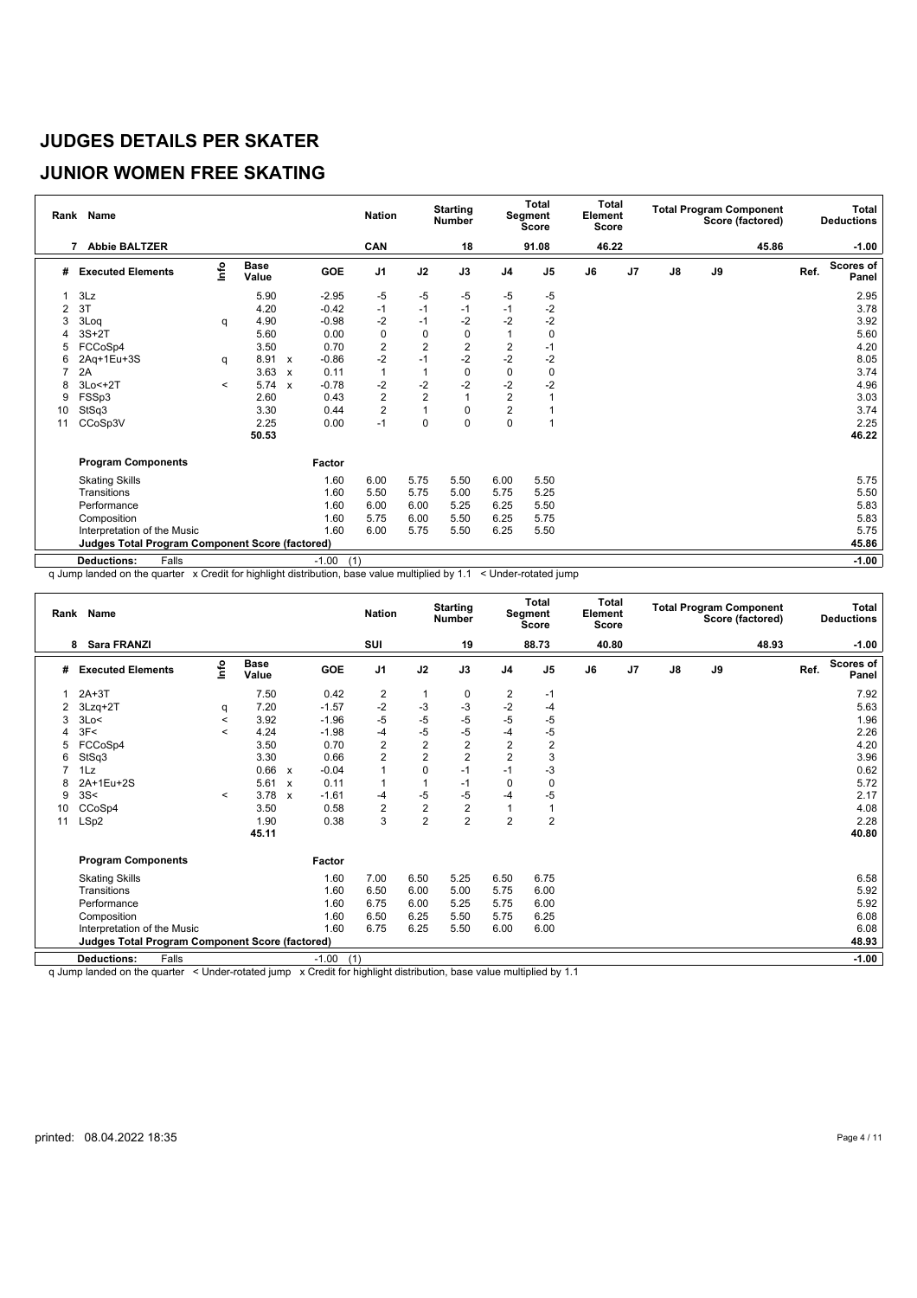# **JUNIOR WOMEN FREE SKATING**

|                | Rank Name                                              |         |                      |              |                | <b>Nation</b>  |                | <b>Starting</b><br><b>Number</b> |                | Total<br>Segment<br>Score | <b>Total</b><br>Element<br><b>Score</b> |                |               |    | <b>Total Program Component</b><br>Score (factored) |      | Total<br><b>Deductions</b> |
|----------------|--------------------------------------------------------|---------|----------------------|--------------|----------------|----------------|----------------|----------------------------------|----------------|---------------------------|-----------------------------------------|----------------|---------------|----|----------------------------------------------------|------|----------------------------|
|                | <b>Abbie BALTZER</b><br>7                              |         |                      |              |                | CAN            |                | 18                               |                | 91.08                     | 46.22                                   |                |               |    | 45.86                                              |      | $-1.00$                    |
| #              | <b>Executed Elements</b>                               | lnfo    | <b>Base</b><br>Value |              | GOE            | J <sub>1</sub> | J2             | J3                               | J <sub>4</sub> | J <sub>5</sub>            | J6                                      | J <sub>7</sub> | $\mathsf{J}8$ | J9 |                                                    | Ref. | <b>Scores of</b><br>Panel  |
|                | 3Lz                                                    |         | 5.90                 |              | $-2.95$        | -5             | -5             | -5                               | -5             | $-5$                      |                                         |                |               |    |                                                    |      | 2.95                       |
| $\overline{2}$ | 3T                                                     |         | 4.20                 |              | $-0.42$        | $-1$           | $-1$           | $-1$                             | $-1$           | $-2$                      |                                         |                |               |    |                                                    |      | 3.78                       |
| 3              | 3Loq                                                   | q       | 4.90                 |              | $-0.98$        | $-2$           | $-1$           | $-2$                             | $-2$           | $-2$                      |                                         |                |               |    |                                                    |      | 3.92                       |
|                | $3S+2T$                                                |         | 5.60                 |              | 0.00           | $\mathbf 0$    | 0              | 0                                |                | 0                         |                                         |                |               |    |                                                    |      | 5.60                       |
| 5              | FCCoSp4                                                |         | 3.50                 |              | 0.70           | $\overline{2}$ | $\overline{2}$ | $\overline{2}$                   | $\overline{2}$ | $-1$                      |                                         |                |               |    |                                                    |      | 4.20                       |
| 6              | 2Aq+1Eu+3S                                             | q       | 8.91 x               |              | $-0.86$        | $-2$           | $-1$           | $-2$                             | $-2$           | $-2$                      |                                         |                |               |    |                                                    |      | 8.05                       |
|                | 2A                                                     |         | 3.63                 | $\mathbf{x}$ | 0.11           | $\overline{1}$ | 1              | $\mathbf 0$                      | $\mathbf 0$    | 0                         |                                         |                |               |    |                                                    |      | 3.74                       |
| 8              | $3Lo < +2T$                                            | $\prec$ | 5.74                 | $\mathbf{x}$ | $-0.78$        | $-2$           | $-2$           | $-2$                             | $-2$           | $-2$                      |                                         |                |               |    |                                                    |      | 4.96                       |
| 9              | FSSp3                                                  |         | 2.60                 |              | 0.43           | $\overline{2}$ | $\overline{2}$ | $\overline{1}$                   | $\overline{c}$ |                           |                                         |                |               |    |                                                    |      | 3.03                       |
| 10             | StSq3                                                  |         | 3.30                 |              | 0.44           | $\overline{2}$ | 1              | 0                                | $\overline{2}$ |                           |                                         |                |               |    |                                                    |      | 3.74                       |
| 11             | CCoSp3V                                                |         | 2.25                 |              | 0.00           | $-1$           | 0              | 0                                | $\mathbf 0$    |                           |                                         |                |               |    |                                                    |      | 2.25                       |
|                |                                                        |         | 50.53                |              |                |                |                |                                  |                |                           |                                         |                |               |    |                                                    |      | 46.22                      |
|                | <b>Program Components</b>                              |         |                      |              | Factor         |                |                |                                  |                |                           |                                         |                |               |    |                                                    |      |                            |
|                | <b>Skating Skills</b>                                  |         |                      |              | 1.60           | 6.00           | 5.75           | 5.50                             | 6.00           | 5.50                      |                                         |                |               |    |                                                    |      | 5.75                       |
|                | Transitions                                            |         |                      |              | 1.60           | 5.50           | 5.75           | 5.00                             | 5.75           | 5.25                      |                                         |                |               |    |                                                    |      | 5.50                       |
|                | Performance                                            |         |                      |              | 1.60           | 6.00           | 6.00           | 5.25                             | 6.25           | 5.50                      |                                         |                |               |    |                                                    |      | 5.83                       |
|                | Composition                                            |         |                      |              | 1.60           | 5.75           | 6.00           | 5.50                             | 6.25           | 5.75                      |                                         |                |               |    |                                                    |      | 5.83                       |
|                | Interpretation of the Music                            |         |                      |              | 1.60           | 6.00           | 5.75           | 5.50                             | 6.25           | 5.50                      |                                         |                |               |    |                                                    |      | 5.75                       |
|                | <b>Judges Total Program Component Score (factored)</b> |         |                      |              |                |                |                |                                  |                |                           |                                         |                |               |    |                                                    |      | 45.86                      |
|                | <b>Deductions:</b><br>Falls                            |         |                      |              | $-1.00$<br>(1) |                |                |                                  |                |                           |                                         |                |               |    |                                                    |      | $-1.00$                    |

q Jump landed on the quarter x Credit for highlight distribution, base value multiplied by 1.1 < Under-rotated jump

|    | Rank Name                                       |         |                      |                           |                | <b>Nation</b>  |                | <b>Starting</b><br><b>Number</b> |                  | Total<br>Segment<br><b>Score</b> | Total<br>Element<br><b>Score</b> |                |               |    | <b>Total Program Component</b><br>Score (factored) |      | Total<br><b>Deductions</b> |
|----|-------------------------------------------------|---------|----------------------|---------------------------|----------------|----------------|----------------|----------------------------------|------------------|----------------------------------|----------------------------------|----------------|---------------|----|----------------------------------------------------|------|----------------------------|
|    | <b>Sara FRANZI</b><br>8                         |         |                      |                           |                | SUI            |                | 19                               |                  | 88.73                            | 40.80                            |                |               |    | 48.93                                              |      | $-1.00$                    |
| #  | <b>Executed Elements</b>                        | lnfo    | <b>Base</b><br>Value |                           | GOE            | J <sub>1</sub> | J2             | J3                               | J <sub>4</sub>   | J <sub>5</sub>                   | J6                               | J <sub>7</sub> | $\mathsf{J}8$ | J9 |                                                    | Ref. | <b>Scores of</b><br>Panel  |
| 1  | $2A+3T$                                         |         | 7.50                 |                           | 0.42           | $\overline{2}$ | $\mathbf{1}$   | 0                                | 2                | $-1$                             |                                  |                |               |    |                                                    |      | 7.92                       |
|    | $3Lzq+2T$                                       | q       | 7.20                 |                           | $-1.57$        | $-2$           | $-3$           | $-3$                             | $-2$             | -4                               |                                  |                |               |    |                                                    |      | 5.63                       |
| 3  | 3Lo<                                            | $\,<$   | 3.92                 |                           | $-1.96$        | $-5$           | $-5$           | $-5$                             | $-5$             | -5                               |                                  |                |               |    |                                                    |      | 1.96                       |
| Δ  | 3F<                                             | $\,<\,$ | 4.24                 |                           | $-1.98$        | $-4$           | $-5$           | $-5$                             | $-4$             | -5                               |                                  |                |               |    |                                                    |      | 2.26                       |
| 5  | FCCoSp4                                         |         | 3.50                 |                           | 0.70           | $\overline{2}$ | $\overline{c}$ | $\overline{2}$                   | $\boldsymbol{2}$ | 2                                |                                  |                |               |    |                                                    |      | 4.20                       |
| 6  | StSq3                                           |         | 3.30                 |                           | 0.66           | $\overline{2}$ | $\overline{2}$ | $\overline{2}$                   | $\overline{2}$   | 3                                |                                  |                |               |    |                                                    |      | 3.96                       |
|    | 1Lz                                             |         | 0.66                 | $\boldsymbol{\mathsf{x}}$ | $-0.04$        | 1              | $\mathbf 0$    | $-1$                             | $-1$             | -3                               |                                  |                |               |    |                                                    |      | 0.62                       |
| 8  | 2A+1Eu+2S                                       |         | 5.61                 | $\boldsymbol{\mathsf{x}}$ | 0.11           | 1              | 1              | $-1$                             | $\mathbf 0$      | $\Omega$                         |                                  |                |               |    |                                                    |      | 5.72                       |
| 9  | 3S<                                             | $\,<\,$ | 3.78                 | $\mathbf{x}$              | $-1.61$        | -4             | $-5$           | $-5$                             | $-4$             | -5                               |                                  |                |               |    |                                                    |      | 2.17                       |
| 10 | CCoSp4                                          |         | 3.50                 |                           | 0.58           | $\overline{2}$ | $\overline{c}$ | $\boldsymbol{2}$                 | $\overline{1}$   |                                  |                                  |                |               |    |                                                    |      | 4.08                       |
| 11 | LSp2                                            |         | 1.90                 |                           | 0.38           | 3              | $\overline{2}$ | $\overline{2}$                   | $\overline{2}$   | $\overline{2}$                   |                                  |                |               |    |                                                    |      | 2.28                       |
|    |                                                 |         | 45.11                |                           |                |                |                |                                  |                  |                                  |                                  |                |               |    |                                                    |      | 40.80                      |
|    | <b>Program Components</b>                       |         |                      |                           | Factor         |                |                |                                  |                  |                                  |                                  |                |               |    |                                                    |      |                            |
|    | <b>Skating Skills</b>                           |         |                      |                           | 1.60           | 7.00           | 6.50           | 5.25                             | 6.50             | 6.75                             |                                  |                |               |    |                                                    |      | 6.58                       |
|    | Transitions                                     |         |                      |                           | 1.60           | 6.50           | 6.00           | 5.00                             | 5.75             | 6.00                             |                                  |                |               |    |                                                    |      | 5.92                       |
|    | Performance                                     |         |                      |                           | 1.60           | 6.75           | 6.00           | 5.25                             | 5.75             | 6.00                             |                                  |                |               |    |                                                    |      | 5.92                       |
|    | Composition                                     |         |                      |                           | 1.60           | 6.50           | 6.25           | 5.50                             | 5.75             | 6.25                             |                                  |                |               |    |                                                    |      | 6.08                       |
|    | Interpretation of the Music                     |         |                      |                           | 1.60           | 6.75           | 6.25           | 5.50                             | 6.00             | 6.00                             |                                  |                |               |    |                                                    |      | 6.08                       |
|    | Judges Total Program Component Score (factored) |         |                      |                           |                |                |                |                                  |                  |                                  |                                  |                |               |    |                                                    |      | 48.93                      |
|    | Falls<br><b>Deductions:</b>                     |         |                      |                           | $-1.00$<br>(1) |                |                |                                  |                  |                                  |                                  |                |               |    |                                                    |      | $-1.00$                    |
|    |                                                 |         |                      |                           |                |                |                |                                  |                  |                                  |                                  |                |               |    |                                                    |      |                            |

q Jump landed on the quarter < Under-rotated jump x Credit for highlight distribution, base value multiplied by 1.1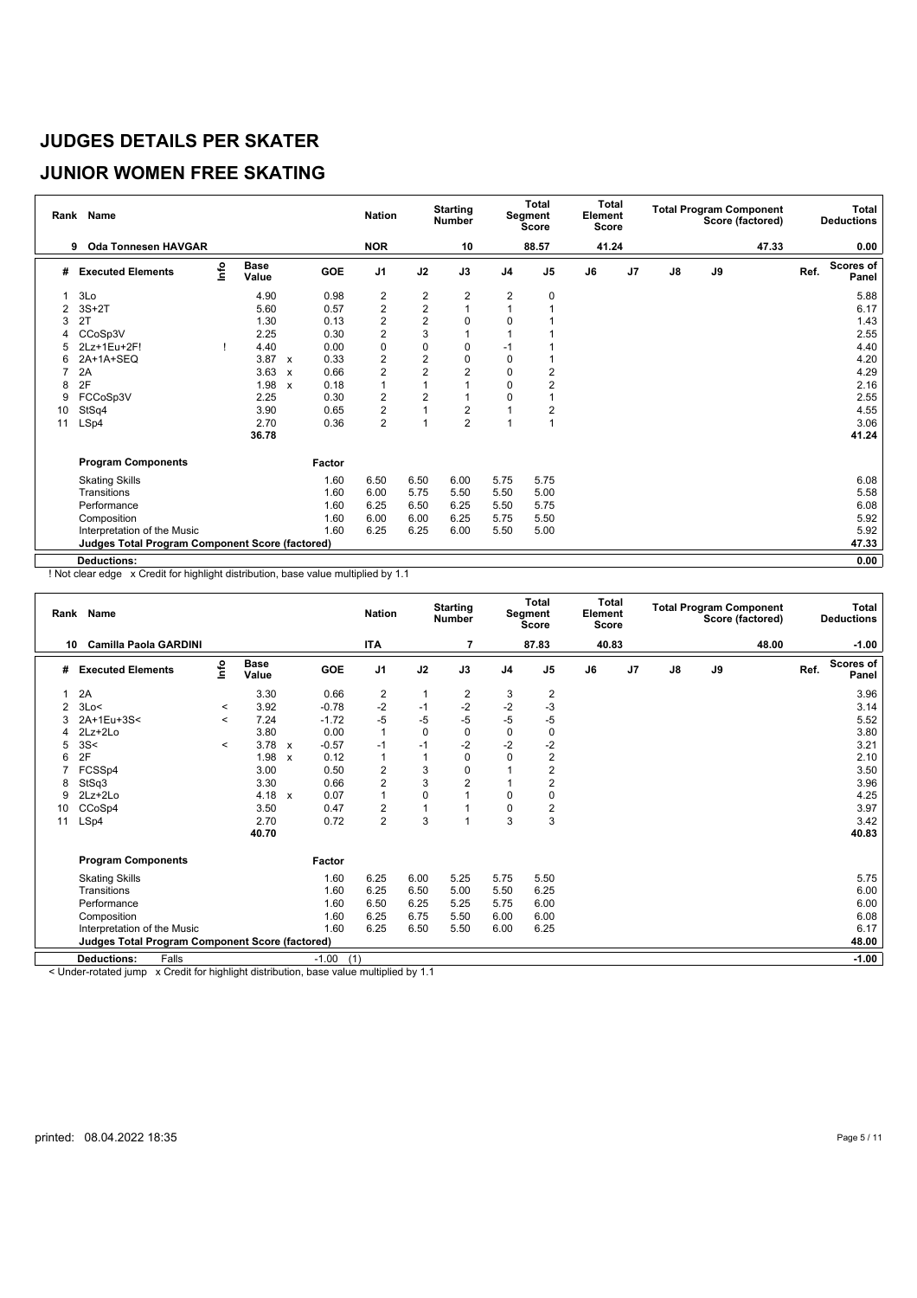# **JUNIOR WOMEN FREE SKATING**

|    | Rank Name                                              |      |                      |                           |        | <b>Nation</b>  |                | <b>Starting</b><br><b>Number</b> |                | Total<br>Segment<br><b>Score</b> | Total<br>Element<br><b>Score</b> |    |               |    | <b>Total Program Component</b><br>Score (factored) |      | <b>Total</b><br><b>Deductions</b> |
|----|--------------------------------------------------------|------|----------------------|---------------------------|--------|----------------|----------------|----------------------------------|----------------|----------------------------------|----------------------------------|----|---------------|----|----------------------------------------------------|------|-----------------------------------|
|    | <b>Oda Tonnesen HAVGAR</b><br>9                        |      |                      |                           |        | <b>NOR</b>     |                | 10                               |                | 88.57                            | 41.24                            |    |               |    | 47.33                                              |      | 0.00                              |
| #  | <b>Executed Elements</b>                               | Info | <b>Base</b><br>Value |                           | GOE    | J <sub>1</sub> | J2             | J3                               | J <sub>4</sub> | J <sub>5</sub>                   | J6                               | J7 | $\mathsf{J}8$ | J9 |                                                    | Ref. | <b>Scores of</b><br>Panel         |
|    | 3Lo                                                    |      | 4.90                 |                           | 0.98   | 2              | $\overline{2}$ | $\overline{2}$                   | $\overline{2}$ | 0                                |                                  |    |               |    |                                                    |      | 5.88                              |
| 2  | $3S+2T$                                                |      | 5.60                 |                           | 0.57   | $\overline{2}$ | $\overline{2}$ | $\mathbf{1}$                     | $\overline{1}$ |                                  |                                  |    |               |    |                                                    |      | 6.17                              |
| 3  | 2T                                                     |      | 1.30                 |                           | 0.13   | $\overline{c}$ | $\overline{2}$ | 0                                | $\mathbf 0$    |                                  |                                  |    |               |    |                                                    |      | 1.43                              |
|    | CCoSp3V                                                |      | 2.25                 |                           | 0.30   | $\overline{2}$ | 3              |                                  |                |                                  |                                  |    |               |    |                                                    |      | 2.55                              |
| 5  | 2Lz+1Eu+2F!                                            |      | 4.40                 |                           | 0.00   | 0              | $\mathbf 0$    | 0                                | $-1$           |                                  |                                  |    |               |    |                                                    |      | 4.40                              |
| 6  | 2A+1A+SEQ                                              |      | 3.87                 | $\mathsf{x}$              | 0.33   | $\overline{c}$ | $\overline{2}$ | 0                                | $\mathbf 0$    |                                  |                                  |    |               |    |                                                    |      | 4.20                              |
|    | 2A                                                     |      | 3.63                 | $\boldsymbol{\mathsf{x}}$ | 0.66   | $\overline{c}$ | $\overline{2}$ | $\overline{2}$                   | $\mathbf 0$    | 2                                |                                  |    |               |    |                                                    |      | 4.29                              |
| 8  | 2F                                                     |      | 1.98                 | $\boldsymbol{\mathsf{x}}$ | 0.18   | 1              |                |                                  | $\mathbf 0$    |                                  |                                  |    |               |    |                                                    |      | 2.16                              |
| 9  | FCCoSp3V                                               |      | 2.25                 |                           | 0.30   | 2              | 2              |                                  | 0              |                                  |                                  |    |               |    |                                                    |      | 2.55                              |
| 10 | StSq4                                                  |      | 3.90                 |                           | 0.65   | 2              |                | $\overline{2}$                   | 1              | 2                                |                                  |    |               |    |                                                    |      | 4.55                              |
| 11 | LSp4                                                   |      | 2.70                 |                           | 0.36   | $\overline{2}$ |                | $\overline{2}$                   | $\overline{ }$ |                                  |                                  |    |               |    |                                                    |      | 3.06                              |
|    |                                                        |      | 36.78                |                           |        |                |                |                                  |                |                                  |                                  |    |               |    |                                                    |      | 41.24                             |
|    | <b>Program Components</b>                              |      |                      |                           | Factor |                |                |                                  |                |                                  |                                  |    |               |    |                                                    |      |                                   |
|    | <b>Skating Skills</b>                                  |      |                      |                           | 1.60   | 6.50           | 6.50           | 6.00                             | 5.75           | 5.75                             |                                  |    |               |    |                                                    |      | 6.08                              |
|    | Transitions                                            |      |                      |                           | 1.60   | 6.00           | 5.75           | 5.50                             | 5.50           | 5.00                             |                                  |    |               |    |                                                    |      | 5.58                              |
|    | Performance                                            |      |                      |                           | 1.60   | 6.25           | 6.50           | 6.25                             | 5.50           | 5.75                             |                                  |    |               |    |                                                    |      | 6.08                              |
|    | Composition                                            |      |                      |                           | 1.60   | 6.00           | 6.00           | 6.25                             | 5.75           | 5.50                             |                                  |    |               |    |                                                    |      | 5.92                              |
|    | Interpretation of the Music                            |      |                      |                           | 1.60   | 6.25           | 6.25           | 6.00                             | 5.50           | 5.00                             |                                  |    |               |    |                                                    |      | 5.92                              |
|    | <b>Judges Total Program Component Score (factored)</b> |      |                      |                           |        |                |                |                                  |                |                                  |                                  |    |               |    |                                                    |      | 47.33                             |
|    | <b>Deductions:</b>                                     |      |                      |                           |        |                |                |                                  |                |                                  |                                  |    |               |    |                                                    |      | 0.00                              |

! Not clear edge x Credit for highlight distribution, base value multiplied by 1.1

| 87.83<br>48.00<br><b>Camilla Paola GARDINI</b><br><b>ITA</b><br>7<br>40.83<br>10<br>۴o<br><b>Base</b><br>Ref.<br><b>GOE</b><br>J <sub>1</sub><br>J2<br>J3<br>$\mathsf{J}8$<br>J9<br>J <sub>5</sub><br>J6<br>J7<br><b>Executed Elements</b><br>J <sub>4</sub><br>#<br>Value<br>2A<br>3.30<br>0.66<br>$\overline{2}$<br>2<br>2<br>3<br>1<br>$-2$<br>$-2$<br>$-2$<br>$-3$<br>3.92<br>$-0.78$<br>$-1$<br>3Lo<<br>$\prec$<br>$-5$<br>$-5$<br>$-5$<br>-5<br>7.24<br>$-5$<br>2A+1Eu+3S<<br>$-1.72$<br>3<br>$\,<$<br>$\mathbf{1}$<br>$\mathbf 0$<br>$\Omega$<br>$2Lz + 2Lo$<br>3.80<br>0.00<br>$\Omega$<br>0<br>$-2$<br>$-1$<br>$-2$<br>-2<br>3S<<br>3.78<br>$-0.57$<br>$-1$<br>$\,<$<br>$\mathbf{x}$<br>5<br>2F<br>$\overline{2}$<br>0.12<br>$\Omega$<br>$\Omega$<br>1.98<br>1<br>1<br>$\boldsymbol{\mathsf{x}}$<br>6<br>3<br>$\mathbf 0$<br>2<br>0.50<br>$\overline{2}$<br>FCSSp4<br>3.00<br>3<br>$\overline{c}$<br>$\overline{2}$<br>2<br>StSq3<br>3.30<br>0.66<br>8<br>0<br>0.07<br>1<br>$2Lz + 2Lo$<br>4.18<br>$\Omega$<br>$\Omega$<br>9<br>$\mathbf{x}$<br>$\overline{c}$<br>0.47<br>1<br>2<br>CCoSp4<br>3.50<br>$\Omega$<br>10<br>$\overline{2}$<br>3<br>3<br>3<br>0.72<br>LSp4<br>2.70<br>11<br>40.70 | $-1.00$<br>Scores of<br>Panel<br>3.96<br>3.14<br>5.52 |
|-------------------------------------------------------------------------------------------------------------------------------------------------------------------------------------------------------------------------------------------------------------------------------------------------------------------------------------------------------------------------------------------------------------------------------------------------------------------------------------------------------------------------------------------------------------------------------------------------------------------------------------------------------------------------------------------------------------------------------------------------------------------------------------------------------------------------------------------------------------------------------------------------------------------------------------------------------------------------------------------------------------------------------------------------------------------------------------------------------------------------------------------------------------------------------------------------------|-------------------------------------------------------|
|                                                                                                                                                                                                                                                                                                                                                                                                                                                                                                                                                                                                                                                                                                                                                                                                                                                                                                                                                                                                                                                                                                                                                                                                       |                                                       |
|                                                                                                                                                                                                                                                                                                                                                                                                                                                                                                                                                                                                                                                                                                                                                                                                                                                                                                                                                                                                                                                                                                                                                                                                       |                                                       |
|                                                                                                                                                                                                                                                                                                                                                                                                                                                                                                                                                                                                                                                                                                                                                                                                                                                                                                                                                                                                                                                                                                                                                                                                       |                                                       |
|                                                                                                                                                                                                                                                                                                                                                                                                                                                                                                                                                                                                                                                                                                                                                                                                                                                                                                                                                                                                                                                                                                                                                                                                       |                                                       |
|                                                                                                                                                                                                                                                                                                                                                                                                                                                                                                                                                                                                                                                                                                                                                                                                                                                                                                                                                                                                                                                                                                                                                                                                       |                                                       |
|                                                                                                                                                                                                                                                                                                                                                                                                                                                                                                                                                                                                                                                                                                                                                                                                                                                                                                                                                                                                                                                                                                                                                                                                       | 3.80                                                  |
|                                                                                                                                                                                                                                                                                                                                                                                                                                                                                                                                                                                                                                                                                                                                                                                                                                                                                                                                                                                                                                                                                                                                                                                                       | 3.21                                                  |
|                                                                                                                                                                                                                                                                                                                                                                                                                                                                                                                                                                                                                                                                                                                                                                                                                                                                                                                                                                                                                                                                                                                                                                                                       | 2.10                                                  |
|                                                                                                                                                                                                                                                                                                                                                                                                                                                                                                                                                                                                                                                                                                                                                                                                                                                                                                                                                                                                                                                                                                                                                                                                       | 3.50                                                  |
|                                                                                                                                                                                                                                                                                                                                                                                                                                                                                                                                                                                                                                                                                                                                                                                                                                                                                                                                                                                                                                                                                                                                                                                                       | 3.96                                                  |
|                                                                                                                                                                                                                                                                                                                                                                                                                                                                                                                                                                                                                                                                                                                                                                                                                                                                                                                                                                                                                                                                                                                                                                                                       | 4.25                                                  |
|                                                                                                                                                                                                                                                                                                                                                                                                                                                                                                                                                                                                                                                                                                                                                                                                                                                                                                                                                                                                                                                                                                                                                                                                       | 3.97                                                  |
|                                                                                                                                                                                                                                                                                                                                                                                                                                                                                                                                                                                                                                                                                                                                                                                                                                                                                                                                                                                                                                                                                                                                                                                                       | 3.42                                                  |
|                                                                                                                                                                                                                                                                                                                                                                                                                                                                                                                                                                                                                                                                                                                                                                                                                                                                                                                                                                                                                                                                                                                                                                                                       | 40.83                                                 |
| <b>Program Components</b><br>Factor                                                                                                                                                                                                                                                                                                                                                                                                                                                                                                                                                                                                                                                                                                                                                                                                                                                                                                                                                                                                                                                                                                                                                                   |                                                       |
| 5.75<br>5.50<br>1.60<br>6.25<br>6.00<br>5.25<br><b>Skating Skills</b>                                                                                                                                                                                                                                                                                                                                                                                                                                                                                                                                                                                                                                                                                                                                                                                                                                                                                                                                                                                                                                                                                                                                 | 5.75                                                  |
| Transitions<br>1.60<br>6.25<br>6.25<br>6.50<br>5.00<br>5.50                                                                                                                                                                                                                                                                                                                                                                                                                                                                                                                                                                                                                                                                                                                                                                                                                                                                                                                                                                                                                                                                                                                                           | 6.00                                                  |
| Performance<br>1.60<br>6.50<br>6.25<br>5.25<br>6.00<br>5.75                                                                                                                                                                                                                                                                                                                                                                                                                                                                                                                                                                                                                                                                                                                                                                                                                                                                                                                                                                                                                                                                                                                                           | 6.00                                                  |
| 1.60<br>6.25<br>6.75<br>6.00<br>Composition<br>5.50<br>6.00                                                                                                                                                                                                                                                                                                                                                                                                                                                                                                                                                                                                                                                                                                                                                                                                                                                                                                                                                                                                                                                                                                                                           | 6.08                                                  |
| 1.60<br>Interpretation of the Music<br>6.25<br>6.50<br>5.50<br>6.25<br>6.00                                                                                                                                                                                                                                                                                                                                                                                                                                                                                                                                                                                                                                                                                                                                                                                                                                                                                                                                                                                                                                                                                                                           | 6.17                                                  |
| <b>Judges Total Program Component Score (factored)</b>                                                                                                                                                                                                                                                                                                                                                                                                                                                                                                                                                                                                                                                                                                                                                                                                                                                                                                                                                                                                                                                                                                                                                | 48.00                                                 |
| $-1.00$<br>(1)<br><b>Deductions:</b><br>Falls                                                                                                                                                                                                                                                                                                                                                                                                                                                                                                                                                                                                                                                                                                                                                                                                                                                                                                                                                                                                                                                                                                                                                         | $-1.00$                                               |

< Under-rotated jump x Credit for highlight distribution, base value multiplied by 1.1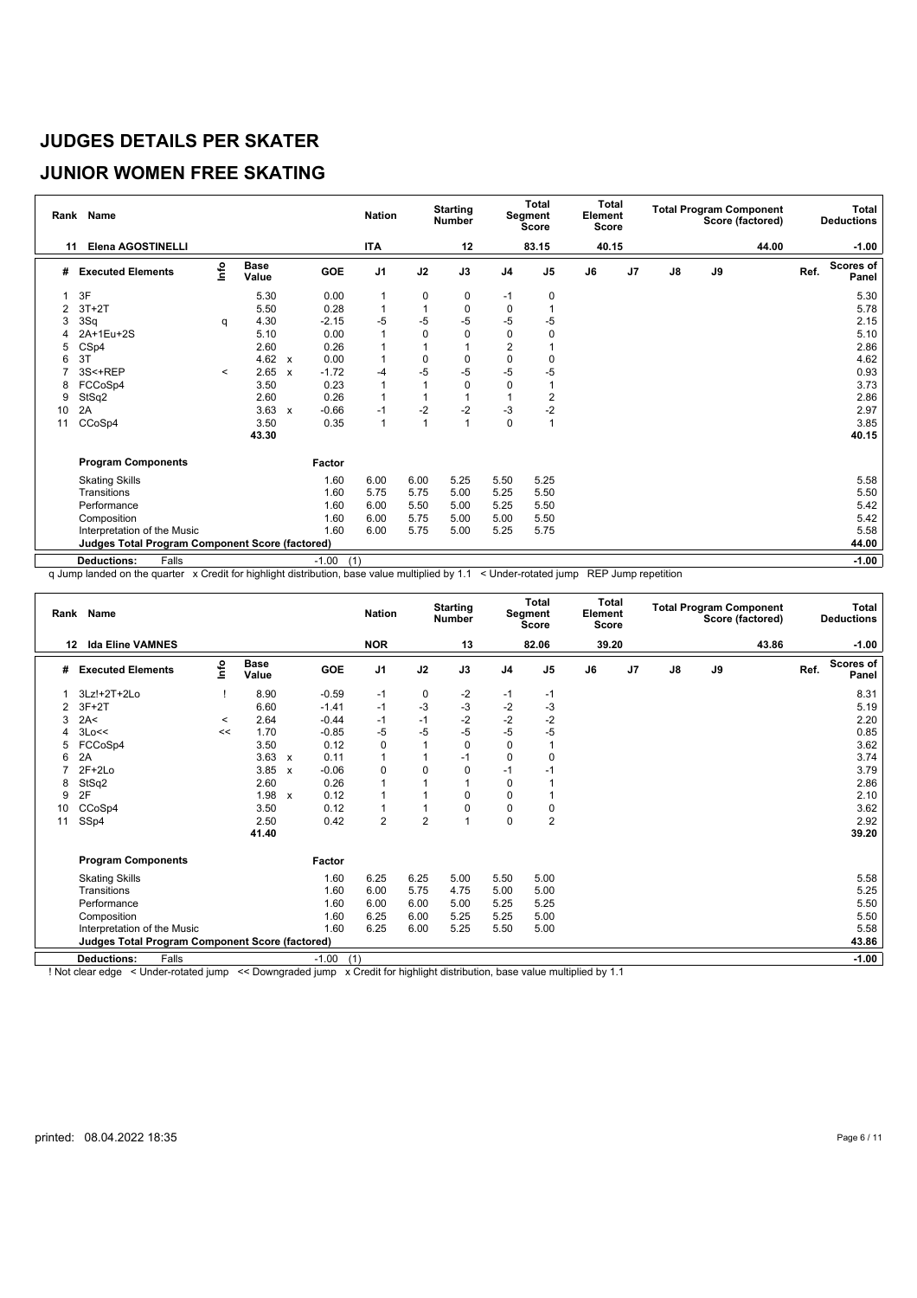# **JUNIOR WOMEN FREE SKATING**

|    | Rank Name                                              |         |                      |                           |                | <b>Nation</b>  |          | <b>Starting</b><br><b>Number</b> |                | <b>Total</b><br>Segment<br><b>Score</b> | <b>Total</b><br>Element<br>Score |                |               |    | <b>Total Program Component</b><br>Score (factored) |      | <b>Total</b><br><b>Deductions</b> |
|----|--------------------------------------------------------|---------|----------------------|---------------------------|----------------|----------------|----------|----------------------------------|----------------|-----------------------------------------|----------------------------------|----------------|---------------|----|----------------------------------------------------|------|-----------------------------------|
| 11 | <b>Elena AGOSTINELLI</b>                               |         |                      |                           |                | <b>ITA</b>     |          | 12                               |                | 83.15                                   | 40.15                            |                |               |    | 44.00                                              |      | $-1.00$                           |
| #  | <b>Executed Elements</b>                               | lnfo    | <b>Base</b><br>Value |                           | <b>GOE</b>     | J <sub>1</sub> | J2       | J3                               | J <sub>4</sub> | J <sub>5</sub>                          | J6                               | J <sub>7</sub> | $\mathsf{J}8$ | J9 |                                                    | Ref. | <b>Scores of</b><br>Panel         |
|    | 3F                                                     |         | 5.30                 |                           | 0.00           |                | 0        | 0                                | $-1$           | 0                                       |                                  |                |               |    |                                                    |      | 5.30                              |
| 2  | $3T+2T$                                                |         | 5.50                 |                           | 0.28           |                |          | 0                                | 0              |                                         |                                  |                |               |    |                                                    |      | 5.78                              |
| 3  | 3Sq                                                    | q       | 4.30                 |                           | $-2.15$        | $-5$           | -5       | $-5$                             | -5             | -5                                      |                                  |                |               |    |                                                    |      | 2.15                              |
|    | 2A+1Eu+2S                                              |         | 5.10                 |                           | 0.00           | $\overline{1}$ | $\Omega$ | 0                                | $\Omega$       | 0                                       |                                  |                |               |    |                                                    |      | 5.10                              |
| 5  | CSp4                                                   |         | 2.60                 |                           | 0.26           |                |          | 1                                | $\overline{2}$ |                                         |                                  |                |               |    |                                                    |      | 2.86                              |
| 6  | 3T                                                     |         | 4.62 $\times$        |                           | 0.00           |                | 0        | 0                                | $\Omega$       | $\Omega$                                |                                  |                |               |    |                                                    |      | 4.62                              |
|    | 3S<+REP                                                | $\prec$ | 2.65                 | $\mathbf{x}$              | $-1.72$        | -4             | $-5$     | $-5$                             | $-5$           | $-5$                                    |                                  |                |               |    |                                                    |      | 0.93                              |
| 8  | FCCoSp4                                                |         | 3.50                 |                           | 0.23           | $\overline{1}$ |          | 0                                | 0              |                                         |                                  |                |               |    |                                                    |      | 3.73                              |
| 9  | StSq2                                                  |         | 2.60                 |                           | 0.26           |                |          |                                  |                | 2                                       |                                  |                |               |    |                                                    |      | 2.86                              |
| 10 | 2A                                                     |         | 3.63                 | $\boldsymbol{\mathsf{x}}$ | $-0.66$        | $-1$           | $-2$     | $-2$                             | -3             | $-2$                                    |                                  |                |               |    |                                                    |      | 2.97                              |
| 11 | CCoSp4                                                 |         | 3.50                 |                           | 0.35           | $\overline{1}$ | 1        | $\overline{1}$                   | $\mathbf 0$    | 1                                       |                                  |                |               |    |                                                    |      | 3.85                              |
|    |                                                        |         | 43.30                |                           |                |                |          |                                  |                |                                         |                                  |                |               |    |                                                    |      | 40.15                             |
|    | <b>Program Components</b>                              |         |                      |                           | Factor         |                |          |                                  |                |                                         |                                  |                |               |    |                                                    |      |                                   |
|    | <b>Skating Skills</b>                                  |         |                      |                           | 1.60           | 6.00           | 6.00     | 5.25                             | 5.50           | 5.25                                    |                                  |                |               |    |                                                    |      | 5.58                              |
|    | Transitions                                            |         |                      |                           | 1.60           | 5.75           | 5.75     | 5.00                             | 5.25           | 5.50                                    |                                  |                |               |    |                                                    |      | 5.50                              |
|    | Performance                                            |         |                      |                           | 1.60           | 6.00           | 5.50     | 5.00                             | 5.25           | 5.50                                    |                                  |                |               |    |                                                    |      | 5.42                              |
|    | Composition                                            |         |                      |                           | 1.60           | 6.00           | 5.75     | 5.00                             | 5.00           | 5.50                                    |                                  |                |               |    |                                                    |      | 5.42                              |
|    | Interpretation of the Music                            |         |                      |                           | 1.60           | 6.00           | 5.75     | 5.00                             | 5.25           | 5.75                                    |                                  |                |               |    |                                                    |      | 5.58                              |
|    | <b>Judges Total Program Component Score (factored)</b> |         |                      |                           |                |                |          |                                  |                |                                         |                                  |                |               |    |                                                    |      | 44.00                             |
|    | <b>Deductions:</b><br>Falls                            |         |                      |                           | $-1.00$<br>(1) |                |          |                                  |                |                                         |                                  |                |               |    |                                                    |      | $-1.00$                           |

q Jump landed on the quarter x Credit for highlight distribution, base value multiplied by 1.1 < Under-rotated jump REP Jump repetition

|    | Rank Name                                              |         |                      |                           |                | <b>Nation</b>  |                | <b>Starting</b><br><b>Number</b> |                | Total<br>Segment<br><b>Score</b> | <b>Total</b><br>Element<br>Score |                |               |    | <b>Total Program Component</b><br>Score (factored) |      | Total<br><b>Deductions</b> |
|----|--------------------------------------------------------|---------|----------------------|---------------------------|----------------|----------------|----------------|----------------------------------|----------------|----------------------------------|----------------------------------|----------------|---------------|----|----------------------------------------------------|------|----------------------------|
| 12 | <b>Ida Eline VAMNES</b>                                |         |                      |                           |                | <b>NOR</b>     |                | 13                               |                | 82.06                            | 39.20                            |                |               |    | 43.86                                              |      | $-1.00$                    |
| #  | <b>Executed Elements</b>                               | lnfo    | <b>Base</b><br>Value |                           | GOE            | J <sub>1</sub> | J2             | J3                               | J <sub>4</sub> | J <sub>5</sub>                   | J6                               | J <sub>7</sub> | $\mathsf{J}8$ | J9 |                                                    | Ref. | <b>Scores of</b><br>Panel  |
| -1 | 3Lz!+2T+2Lo                                            |         | 8.90                 |                           | $-0.59$        | $-1$           | 0              | $-2$                             | $-1$           | -1                               |                                  |                |               |    |                                                    |      | 8.31                       |
|    | $3F+2T$                                                |         | 6.60                 |                           | $-1.41$        | $-1$           | $-3$           | $-3$                             | $-2$           | $-3$                             |                                  |                |               |    |                                                    |      | 5.19                       |
| 3  | 2A<                                                    | $\,<\,$ | 2.64                 |                           | $-0.44$        | $-1$           | $-1$           | $-2$                             | $-2$           | $-2$                             |                                  |                |               |    |                                                    |      | 2.20                       |
|    | 3Lo<<                                                  | <<      | 1.70                 |                           | $-0.85$        | $-5$           | $-5$           | $-5$                             | $-5$           | $-5$                             |                                  |                |               |    |                                                    |      | 0.85                       |
| 5  | FCCoSp4                                                |         | 3.50                 |                           | 0.12           | 0              | 1              | $\mathbf 0$                      | 0              |                                  |                                  |                |               |    |                                                    |      | 3.62                       |
| 6  | 2A                                                     |         | 3.63                 | $\mathbf{x}$              | 0.11           | 1              | 1              | $-1$                             | $\Omega$       | $\Omega$                         |                                  |                |               |    |                                                    |      | 3.74                       |
|    | $2F+2Lo$                                               |         | 3.85                 | $\boldsymbol{\mathsf{x}}$ | $-0.06$        | 0              | 0              | 0                                | $-1$           | $-1$                             |                                  |                |               |    |                                                    |      | 3.79                       |
| 8  | StSq2                                                  |         | 2.60                 |                           | 0.26           | 1              | 1              |                                  | $\mathbf 0$    |                                  |                                  |                |               |    |                                                    |      | 2.86                       |
| 9  | 2F                                                     |         | 1.98                 | $\mathbf{x}$              | 0.12           | 1              | 1              | $\Omega$                         | 0              |                                  |                                  |                |               |    |                                                    |      | 2.10                       |
| 10 | CCoSp4                                                 |         | 3.50                 |                           | 0.12           | 1              | 1              | 0                                | $\mathbf 0$    | 0                                |                                  |                |               |    |                                                    |      | 3.62                       |
| 11 | SSp4                                                   |         | 2.50                 |                           | 0.42           | $\overline{2}$ | $\overline{2}$ |                                  | $\mathbf 0$    | $\overline{2}$                   |                                  |                |               |    |                                                    |      | 2.92                       |
|    |                                                        |         | 41.40                |                           |                |                |                |                                  |                |                                  |                                  |                |               |    |                                                    |      | 39.20                      |
|    | <b>Program Components</b>                              |         |                      |                           | Factor         |                |                |                                  |                |                                  |                                  |                |               |    |                                                    |      |                            |
|    | <b>Skating Skills</b>                                  |         |                      |                           | 1.60           | 6.25           | 6.25           | 5.00                             | 5.50           | 5.00                             |                                  |                |               |    |                                                    |      | 5.58                       |
|    | Transitions                                            |         |                      |                           | 1.60           | 6.00           | 5.75           | 4.75                             | 5.00           | 5.00                             |                                  |                |               |    |                                                    |      | 5.25                       |
|    | Performance                                            |         |                      |                           | 1.60           | 6.00           | 6.00           | 5.00                             | 5.25           | 5.25                             |                                  |                |               |    |                                                    |      | 5.50                       |
|    | Composition                                            |         |                      |                           | 1.60           | 6.25           | 6.00           | 5.25                             | 5.25           | 5.00                             |                                  |                |               |    |                                                    |      | 5.50                       |
|    | Interpretation of the Music                            |         |                      |                           | 1.60           | 6.25           | 6.00           | 5.25                             | 5.50           | 5.00                             |                                  |                |               |    |                                                    |      | 5.58                       |
|    | <b>Judges Total Program Component Score (factored)</b> |         |                      |                           |                |                |                |                                  |                |                                  |                                  |                |               |    |                                                    |      | 43.86                      |
|    | Falls<br><b>Deductions:</b>                            |         |                      |                           | $-1.00$<br>(1) |                |                |                                  |                |                                  |                                  |                |               |    |                                                    |      | $-1.00$                    |

! Not clear edge < Under-rotated jump << Downgraded jump x Credit for highlight distribution, base value multiplied by 1.1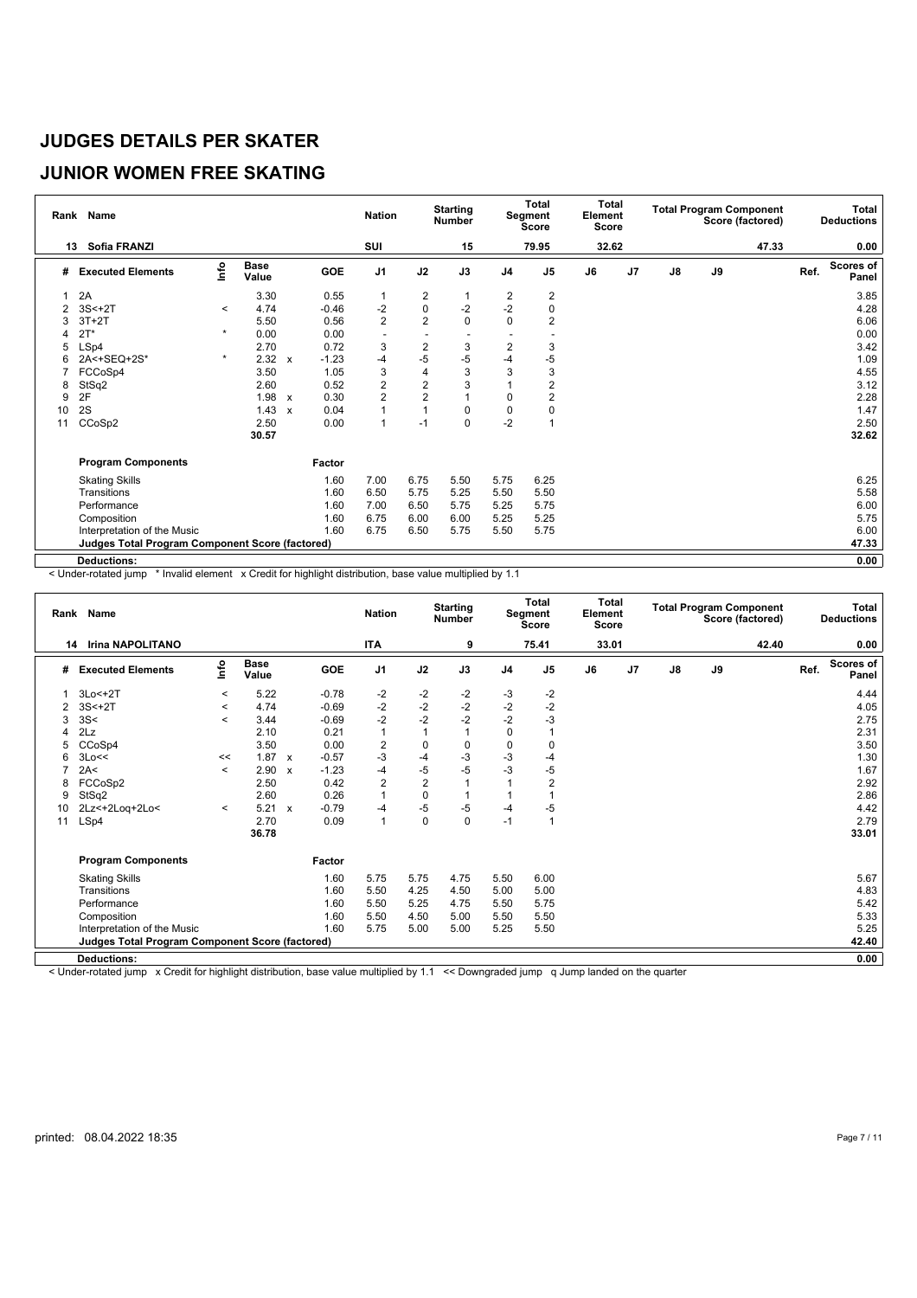# **JUNIOR WOMEN FREE SKATING**

|    | Rank Name                                              |         |                      |                           |         | <b>Nation</b>  |                         | <b>Starting</b><br><b>Number</b> |                | Total<br>Segment<br>Score | <b>Total</b><br>Element<br><b>Score</b> |                |    |    | <b>Total Program Component</b><br>Score (factored) |      | Total<br><b>Deductions</b> |
|----|--------------------------------------------------------|---------|----------------------|---------------------------|---------|----------------|-------------------------|----------------------------------|----------------|---------------------------|-----------------------------------------|----------------|----|----|----------------------------------------------------|------|----------------------------|
| 13 | <b>Sofia FRANZI</b>                                    |         |                      |                           |         | SUI            |                         | 15                               |                | 79.95                     | 32.62                                   |                |    |    | 47.33                                              |      | 0.00                       |
| #  | <b>Executed Elements</b>                               | lnfo    | <b>Base</b><br>Value |                           | GOE     | J <sub>1</sub> | J2                      | J3                               | J <sub>4</sub> | J <sub>5</sub>            | J6                                      | J <sub>7</sub> | J8 | J9 |                                                    | Ref. | <b>Scores of</b><br>Panel  |
|    | 2A                                                     |         | 3.30                 |                           | 0.55    |                | 2                       |                                  | $\overline{c}$ | 2                         |                                         |                |    |    |                                                    |      | 3.85                       |
| 2  | $3S<+2T$                                               | $\prec$ | 4.74                 |                           | $-0.46$ | -2             | 0                       | $-2$                             | $-2$           | 0                         |                                         |                |    |    |                                                    |      | 4.28                       |
| 3  | $3T+2T$                                                |         | 5.50                 |                           | 0.56    | $\overline{2}$ | $\overline{2}$          | $\Omega$                         | $\mathbf{0}$   | $\overline{c}$            |                                         |                |    |    |                                                    |      | 6.06                       |
|    | $2T^*$                                                 | $\star$ | 0.00                 |                           | 0.00    |                |                         |                                  |                |                           |                                         |                |    |    |                                                    |      | 0.00                       |
| 5  | LSp4                                                   |         | 2.70                 |                           | 0.72    | 3              | $\overline{\mathbf{c}}$ | 3                                | $\overline{2}$ | 3                         |                                         |                |    |    |                                                    |      | 3.42                       |
| 6  | 2A<+SEQ+2S*                                            | $\star$ | $2.32 \times$        |                           | $-1.23$ | $-4$           | $-5$                    | $-5$                             | $-4$           | $-5$                      |                                         |                |    |    |                                                    |      | 1.09                       |
|    | FCCoSp4                                                |         | 3.50                 |                           | 1.05    | $\sqrt{3}$     | 4                       | 3                                | 3              | 3                         |                                         |                |    |    |                                                    |      | 4.55                       |
| 8  | StSq2                                                  |         | 2.60                 |                           | 0.52    | $\overline{2}$ | $\overline{2}$          | 3                                |                | $\overline{2}$            |                                         |                |    |    |                                                    |      | 3.12                       |
| 9  | 2F                                                     |         | 1.98                 | $\boldsymbol{\mathsf{x}}$ | 0.30    | $\overline{2}$ | $\overline{2}$          | $\overline{1}$                   | 0              | 2                         |                                         |                |    |    |                                                    |      | 2.28                       |
| 10 | 2S                                                     |         | 1.43                 | $\boldsymbol{\mathsf{x}}$ | 0.04    | $\overline{1}$ | 1                       | 0                                | $\mathbf 0$    | 0                         |                                         |                |    |    |                                                    |      | 1.47                       |
| 11 | CCoSp2                                                 |         | 2.50                 |                           | 0.00    | $\overline{1}$ | $-1$                    | 0                                | $-2$           |                           |                                         |                |    |    |                                                    |      | 2.50                       |
|    |                                                        |         | 30.57                |                           |         |                |                         |                                  |                |                           |                                         |                |    |    |                                                    |      | 32.62                      |
|    | <b>Program Components</b>                              |         |                      |                           | Factor  |                |                         |                                  |                |                           |                                         |                |    |    |                                                    |      |                            |
|    | <b>Skating Skills</b>                                  |         |                      |                           | 1.60    | 7.00           | 6.75                    | 5.50                             | 5.75           | 6.25                      |                                         |                |    |    |                                                    |      | 6.25                       |
|    | Transitions                                            |         |                      |                           | 1.60    | 6.50           | 5.75                    | 5.25                             | 5.50           | 5.50                      |                                         |                |    |    |                                                    |      | 5.58                       |
|    | Performance                                            |         |                      |                           | 1.60    | 7.00           | 6.50                    | 5.75                             | 5.25           | 5.75                      |                                         |                |    |    |                                                    |      | 6.00                       |
|    | Composition                                            |         |                      |                           | 1.60    | 6.75           | 6.00                    | 6.00                             | 5.25           | 5.25                      |                                         |                |    |    |                                                    |      | 5.75                       |
|    | Interpretation of the Music                            |         |                      |                           | 1.60    | 6.75           | 6.50                    | 5.75                             | 5.50           | 5.75                      |                                         |                |    |    |                                                    |      | 6.00                       |
|    | <b>Judges Total Program Component Score (factored)</b> |         |                      |                           |         |                |                         |                                  |                |                           |                                         |                |    |    |                                                    |      | 47.33                      |
|    | <b>Deductions:</b>                                     |         |                      |                           |         |                |                         |                                  |                |                           |                                         |                |    |    |                                                    |      | 0.00                       |

< Under-rotated jump \* Invalid element x Credit for highlight distribution, base value multiplied by 1.1

| Rank | Name                                                   |         |                      |              |         | <b>Nation</b>  |                | <b>Starting</b><br><b>Number</b> |             | <b>Total</b><br>Segment<br><b>Score</b> | Total<br>Element<br>Score |    |               | <b>Total Program Component</b> | Score (factored) |      | Total<br><b>Deductions</b> |
|------|--------------------------------------------------------|---------|----------------------|--------------|---------|----------------|----------------|----------------------------------|-------------|-----------------------------------------|---------------------------|----|---------------|--------------------------------|------------------|------|----------------------------|
|      | <b>Irina NAPOLITANO</b><br>14                          |         |                      |              |         | <b>ITA</b>     |                | 9                                |             | 75.41                                   | 33.01                     |    |               |                                | 42.40            |      | 0.00                       |
| #    | <b>Executed Elements</b>                               | lnfo    | <b>Base</b><br>Value |              | GOE     | J1             | J2             | J3                               | J4          | J <sub>5</sub>                          | J6                        | J7 | $\mathsf{J}8$ | J9                             |                  | Ref. | <b>Scores of</b><br>Panel  |
|      | $3Lo < +2T$                                            | $\,<\,$ | 5.22                 |              | $-0.78$ | $-2$           | $-2$           | $-2$                             | $-3$        | $-2$                                    |                           |    |               |                                |                  |      | 4.44                       |
| 2    | $3S < +2T$                                             | $\prec$ | 4.74                 |              | $-0.69$ | $-2$           | $-2$           | $-2$                             | $-2$        | $-2$                                    |                           |    |               |                                |                  |      | 4.05                       |
| 3    | 3S<                                                    | $\,<\,$ | 3.44                 |              | $-0.69$ | $-2$           | $-2$           | $-2$                             | $-2$        | $-3$                                    |                           |    |               |                                |                  |      | 2.75                       |
|      | 2Lz                                                    |         | 2.10                 |              | 0.21    | $\mathbf{1}$   |                |                                  | 0           |                                         |                           |    |               |                                |                  |      | 2.31                       |
| 5    | CCoSp4                                                 |         | 3.50                 |              | 0.00    | $\overline{c}$ | $\mathbf 0$    | 0                                | $\mathbf 0$ | 0                                       |                           |    |               |                                |                  |      | 3.50                       |
| 6    | 3Lo<<                                                  | <<      | 1.87                 | $\mathbf{x}$ | $-0.57$ | -3             | -4             | $-3$                             | $-3$        | -4                                      |                           |    |               |                                |                  |      | 1.30                       |
| ⇁    | 2A<                                                    | $\,<\,$ | 2.90                 | $\mathsf{x}$ | $-1.23$ | $-4$           | $-5$           | $-5$                             | -3          | $-5$                                    |                           |    |               |                                |                  |      | 1.67                       |
| 8    | FCCoSp2                                                |         | 2.50                 |              | 0.42    | $\overline{c}$ | $\overline{2}$ |                                  |             | $\overline{2}$                          |                           |    |               |                                |                  |      | 2.92                       |
| 9    | StSq2                                                  |         | 2.60                 |              | 0.26    | 1              | $\mathbf 0$    |                                  |             |                                         |                           |    |               |                                |                  |      | 2.86                       |
| 10   | 2Lz<+2Loq+2Lo<                                         | $\prec$ | 5.21                 | $\mathsf{x}$ | $-0.79$ | $-4$           | $-5$           | $-5$                             | $-4$        | -5                                      |                           |    |               |                                |                  |      | 4.42                       |
| 11   | LSp4                                                   |         | 2.70                 |              | 0.09    | $\mathbf{1}$   | $\mathbf 0$    | $\Omega$                         | $-1$        | 1                                       |                           |    |               |                                |                  |      | 2.79                       |
|      |                                                        |         | 36.78                |              |         |                |                |                                  |             |                                         |                           |    |               |                                |                  |      | 33.01                      |
|      | <b>Program Components</b>                              |         |                      |              | Factor  |                |                |                                  |             |                                         |                           |    |               |                                |                  |      |                            |
|      | <b>Skating Skills</b>                                  |         |                      |              | 1.60    | 5.75           | 5.75           | 4.75                             | 5.50        | 6.00                                    |                           |    |               |                                |                  |      | 5.67                       |
|      | Transitions                                            |         |                      |              | 1.60    | 5.50           | 4.25           | 4.50                             | 5.00        | 5.00                                    |                           |    |               |                                |                  |      | 4.83                       |
|      | Performance                                            |         |                      |              | 1.60    | 5.50           | 5.25           | 4.75                             | 5.50        | 5.75                                    |                           |    |               |                                |                  |      | 5.42                       |
|      | Composition                                            |         |                      |              | 1.60    | 5.50           | 4.50           | 5.00                             | 5.50        | 5.50                                    |                           |    |               |                                |                  |      | 5.33                       |
|      | Interpretation of the Music                            |         |                      |              | 1.60    | 5.75           | 5.00           | 5.00                             | 5.25        | 5.50                                    |                           |    |               |                                |                  |      | 5.25                       |
|      | <b>Judges Total Program Component Score (factored)</b> |         |                      |              |         |                |                |                                  |             |                                         |                           |    |               |                                |                  |      | 42.40                      |
|      | <b>Deductions:</b>                                     |         |                      |              |         |                |                |                                  |             |                                         |                           |    |               |                                |                  |      | 0.00                       |

< Under-rotated jump x Credit for highlight distribution, base value multiplied by 1.1 << Downgraded jump q Jump landed on the quarter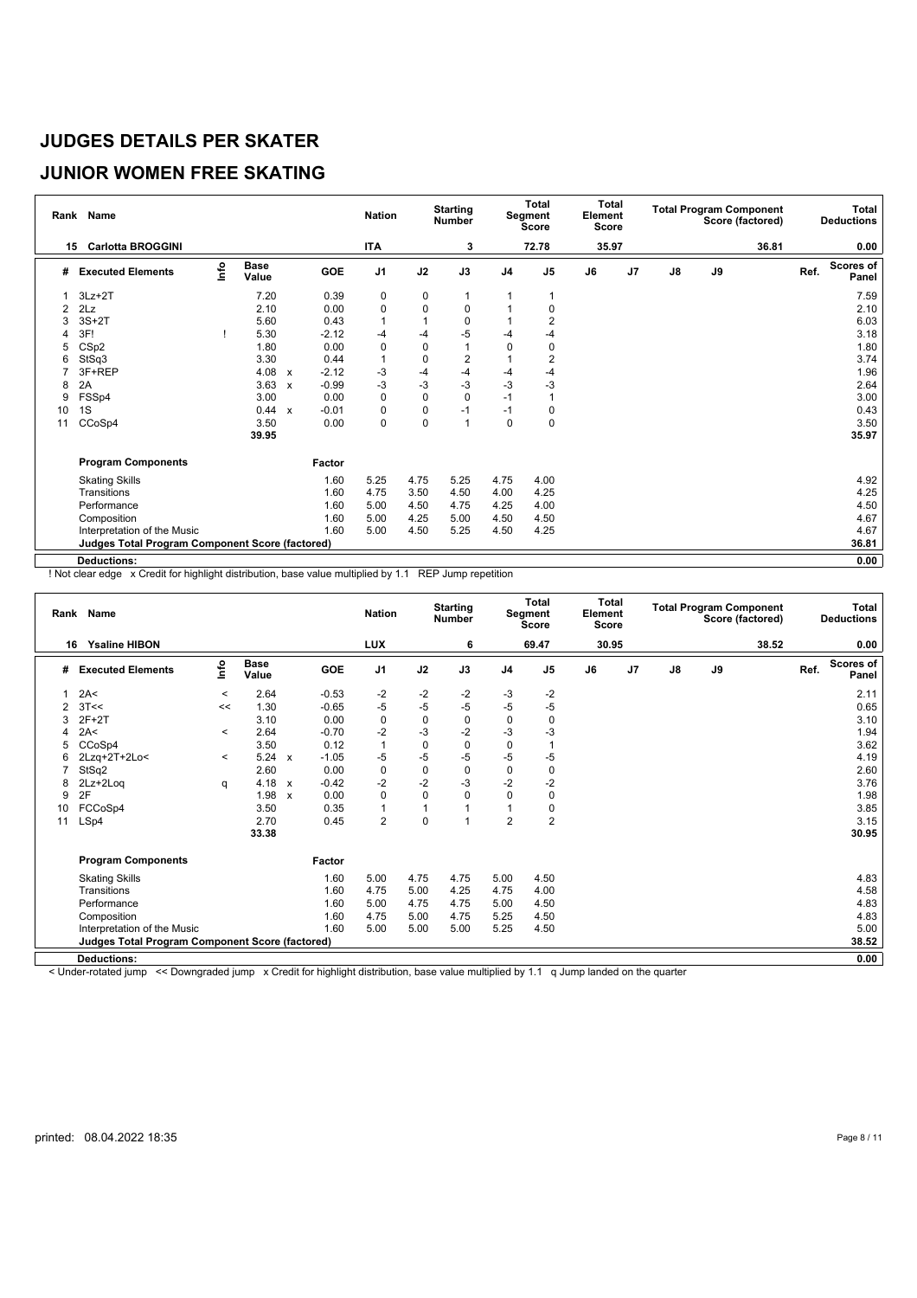# **JUNIOR WOMEN FREE SKATING**

|                | Rank Name                                              |      |                      |                           |         | <b>Nation</b>  |           | <b>Starting</b><br><b>Number</b> |                | Total<br>Segment<br>Score | <b>Total</b><br>Element<br><b>Score</b> |                |    |    | <b>Total Program Component</b><br>Score (factored) |      | Total<br><b>Deductions</b> |
|----------------|--------------------------------------------------------|------|----------------------|---------------------------|---------|----------------|-----------|----------------------------------|----------------|---------------------------|-----------------------------------------|----------------|----|----|----------------------------------------------------|------|----------------------------|
| 15             | <b>Carlotta BROGGINI</b>                               |      |                      |                           |         | <b>ITA</b>     |           | 3                                |                | 72.78                     | 35.97                                   |                |    |    | 36.81                                              |      | 0.00                       |
| #              | <b>Executed Elements</b>                               | lnfo | <b>Base</b><br>Value |                           | GOE     | J <sub>1</sub> | J2        | J3                               | J <sub>4</sub> | J <sub>5</sub>            | J6                                      | J <sub>7</sub> | J8 | J9 |                                                    | Ref. | <b>Scores of</b><br>Panel  |
|                | $3Lz + 2T$                                             |      | 7.20                 |                           | 0.39    | 0              | 0         |                                  |                |                           |                                         |                |    |    |                                                    |      | 7.59                       |
| $\overline{2}$ | 2Lz                                                    |      | 2.10                 |                           | 0.00    | $\mathbf 0$    | 0         | 0                                |                | 0                         |                                         |                |    |    |                                                    |      | 2.10                       |
| 3              | $3S+2T$                                                |      | 5.60                 |                           | 0.43    |                |           | 0                                |                | 2                         |                                         |                |    |    |                                                    |      | 6.03                       |
| 4              | 3F!                                                    |      | 5.30                 |                           | $-2.12$ | $-4$           | -4        | $-5$                             | -4             |                           |                                         |                |    |    |                                                    |      | 3.18                       |
| 5              | CSp2                                                   |      | 1.80                 |                           | 0.00    | $\mathbf 0$    | 0         | 1                                | $\Omega$       | 0                         |                                         |                |    |    |                                                    |      | 1.80                       |
| 6              | StSq3                                                  |      | 3.30                 |                           | 0.44    |                | 0         | 2                                |                | 2                         |                                         |                |    |    |                                                    |      | 3.74                       |
|                | 3F+REP                                                 |      | 4.08                 | $\mathbf{x}$              | $-2.12$ | -3             | -4        | $-4$                             | -4             | $-4$                      |                                         |                |    |    |                                                    |      | 1.96                       |
| 8              | 2A                                                     |      | 3.63                 | $\boldsymbol{\mathsf{x}}$ | $-0.99$ | $-3$           | $-3$      | $-3$                             | $-3$           | $-3$                      |                                         |                |    |    |                                                    |      | 2.64                       |
| 9              | FSSp4                                                  |      | 3.00                 |                           | 0.00    | $\mathbf 0$    | $\pmb{0}$ | 0                                | $-1$           |                           |                                         |                |    |    |                                                    |      | 3.00                       |
| 10             | 1S                                                     |      | 0.44                 | $\mathsf{x}$              | $-0.01$ | $\mathbf 0$    | 0         | $-1$                             | $-1$           | 0                         |                                         |                |    |    |                                                    |      | 0.43                       |
| 11             | CCoSp4                                                 |      | 3.50                 |                           | 0.00    | $\mathbf 0$    | 0         | $\overline{1}$                   | 0              | $\mathbf 0$               |                                         |                |    |    |                                                    |      | 3.50                       |
|                |                                                        |      | 39.95                |                           |         |                |           |                                  |                |                           |                                         |                |    |    |                                                    |      | 35.97                      |
|                | <b>Program Components</b>                              |      |                      |                           | Factor  |                |           |                                  |                |                           |                                         |                |    |    |                                                    |      |                            |
|                | <b>Skating Skills</b>                                  |      |                      |                           | 1.60    | 5.25           | 4.75      | 5.25                             | 4.75           | 4.00                      |                                         |                |    |    |                                                    |      | 4.92                       |
|                | Transitions                                            |      |                      |                           | 1.60    | 4.75           | 3.50      | 4.50                             | 4.00           | 4.25                      |                                         |                |    |    |                                                    |      | 4.25                       |
|                | Performance                                            |      |                      |                           | 1.60    | 5.00           | 4.50      | 4.75                             | 4.25           | 4.00                      |                                         |                |    |    |                                                    |      | 4.50                       |
|                | Composition                                            |      |                      |                           | 1.60    | 5.00           | 4.25      | 5.00                             | 4.50           | 4.50                      |                                         |                |    |    |                                                    |      | 4.67                       |
|                | Interpretation of the Music                            |      |                      |                           | 1.60    | 5.00           | 4.50      | 5.25                             | 4.50           | 4.25                      |                                         |                |    |    |                                                    |      | 4.67                       |
|                | <b>Judges Total Program Component Score (factored)</b> |      |                      |                           |         |                |           |                                  |                |                           |                                         |                |    |    |                                                    |      | 36.81                      |
|                | <b>Deductions:</b>                                     |      |                      |                           |         |                |           |                                  |                |                           |                                         |                |    |    |                                                    |      | 0.00                       |

! Not clear edge x Credit for highlight distribution, base value multiplied by 1.1 REP Jump repetition

|    | Rank Name                                       |         |                      |                           |         | <b>Nation</b>  |             | <b>Starting</b><br><b>Number</b> |                | Total<br>Segment<br><b>Score</b> | Total<br>Element<br><b>Score</b> |    |               |    | <b>Total Program Component</b><br>Score (factored) |      | Total<br><b>Deductions</b> |
|----|-------------------------------------------------|---------|----------------------|---------------------------|---------|----------------|-------------|----------------------------------|----------------|----------------------------------|----------------------------------|----|---------------|----|----------------------------------------------------|------|----------------------------|
| 16 | <b>Ysaline HIBON</b>                            |         |                      |                           |         | <b>LUX</b>     |             | 6                                |                | 69.47                            | 30.95                            |    |               |    | 38.52                                              |      | 0.00                       |
| #  | <b>Executed Elements</b>                        | lnfo    | <b>Base</b><br>Value |                           | GOE     | J <sub>1</sub> | J2          | J3                               | J <sub>4</sub> | J <sub>5</sub>                   | J6                               | J7 | $\mathsf{J}8$ | J9 |                                                    | Ref. | <b>Scores of</b><br>Panel  |
|    | 2A<                                             | $\prec$ | 2.64                 |                           | $-0.53$ | -2             | $-2$        | $-2$                             | $-3$           | -2                               |                                  |    |               |    |                                                    |      | 2.11                       |
| 2  | 3T<<                                            | <<      | 1.30                 |                           | $-0.65$ | $-5$           | $-5$        | $-5$                             | $-5$           | $-5$                             |                                  |    |               |    |                                                    |      | 0.65                       |
|    | $2F+2T$                                         |         | 3.10                 |                           | 0.00    | $\mathbf 0$    | $\mathbf 0$ | $\pmb{0}$                        | $\mathbf 0$    | $\mathbf 0$                      |                                  |    |               |    |                                                    |      | 3.10                       |
|    | 2A<                                             | $\,<\,$ | 2.64                 |                           | $-0.70$ | $-2$           | $-3$        | $-2$                             | $-3$           | $-3$                             |                                  |    |               |    |                                                    |      | 1.94                       |
|    | CCoSp4                                          |         | 3.50                 |                           | 0.12    | $\mathbf{1}$   | $\mathbf 0$ | $\mathbf 0$                      | $\mathbf 0$    |                                  |                                  |    |               |    |                                                    |      | 3.62                       |
| 6  | 2Lzq+2T+2Lo<                                    | $\prec$ | 5.24                 | $\mathbf{x}$              | $-1.05$ | $-5$           | $-5$        | $-5$                             | $-5$           | $-5$                             |                                  |    |               |    |                                                    |      | 4.19                       |
|    | StSq2                                           |         | 2.60                 |                           | 0.00    | $\mathbf 0$    | $\pmb{0}$   | $\mathbf 0$                      | $\mathbf 0$    | $\mathbf 0$                      |                                  |    |               |    |                                                    |      | 2.60                       |
| 8  | 2Lz+2Loq                                        | q       | 4.18                 | $\boldsymbol{\mathsf{x}}$ | $-0.42$ | $-2$           | $-2$        | $-3$                             | $-2$           | $-2$                             |                                  |    |               |    |                                                    |      | 3.76                       |
| 9  | 2F                                              |         | 1.98                 | $\boldsymbol{\mathsf{x}}$ | 0.00    | $\Omega$       | $\mathbf 0$ | $\Omega$                         | $\theta$       | 0                                |                                  |    |               |    |                                                    |      | 1.98                       |
| 10 | FCCoSp4                                         |         | 3.50                 |                           | 0.35    | 1              | 1           |                                  |                | 0                                |                                  |    |               |    |                                                    |      | 3.85                       |
| 11 | LSp4                                            |         | 2.70                 |                           | 0.45    | $\overline{2}$ | $\mathbf 0$ |                                  | $\overline{2}$ | $\overline{2}$                   |                                  |    |               |    |                                                    |      | 3.15                       |
|    |                                                 |         | 33.38                |                           |         |                |             |                                  |                |                                  |                                  |    |               |    |                                                    |      | 30.95                      |
|    | <b>Program Components</b>                       |         |                      |                           | Factor  |                |             |                                  |                |                                  |                                  |    |               |    |                                                    |      |                            |
|    | <b>Skating Skills</b>                           |         |                      |                           | 1.60    | 5.00           | 4.75        | 4.75                             | 5.00           | 4.50                             |                                  |    |               |    |                                                    |      | 4.83                       |
|    | Transitions                                     |         |                      |                           | 1.60    | 4.75           | 5.00        | 4.25                             | 4.75           | 4.00                             |                                  |    |               |    |                                                    |      | 4.58                       |
|    | Performance                                     |         |                      |                           | 1.60    | 5.00           | 4.75        | 4.75                             | 5.00           | 4.50                             |                                  |    |               |    |                                                    |      | 4.83                       |
|    | Composition                                     |         |                      |                           | 1.60    | 4.75           | 5.00        | 4.75                             | 5.25           | 4.50                             |                                  |    |               |    |                                                    |      | 4.83                       |
|    | Interpretation of the Music                     |         |                      |                           | 1.60    | 5.00           | 5.00        | 5.00                             | 5.25           | 4.50                             |                                  |    |               |    |                                                    |      | 5.00                       |
|    | Judges Total Program Component Score (factored) |         |                      |                           |         |                |             |                                  |                |                                  |                                  |    |               |    |                                                    |      | 38.52                      |
|    |                                                 |         |                      |                           |         |                |             |                                  |                |                                  |                                  |    |               |    |                                                    |      |                            |
|    | <b>Deductions:</b>                              |         |                      |                           |         |                |             |                                  |                |                                  |                                  |    |               |    |                                                    |      | 0.00                       |

< Under-rotated jump << Downgraded jump x Credit for highlight distribution, base value multiplied by 1.1 q Jump landed on the quarter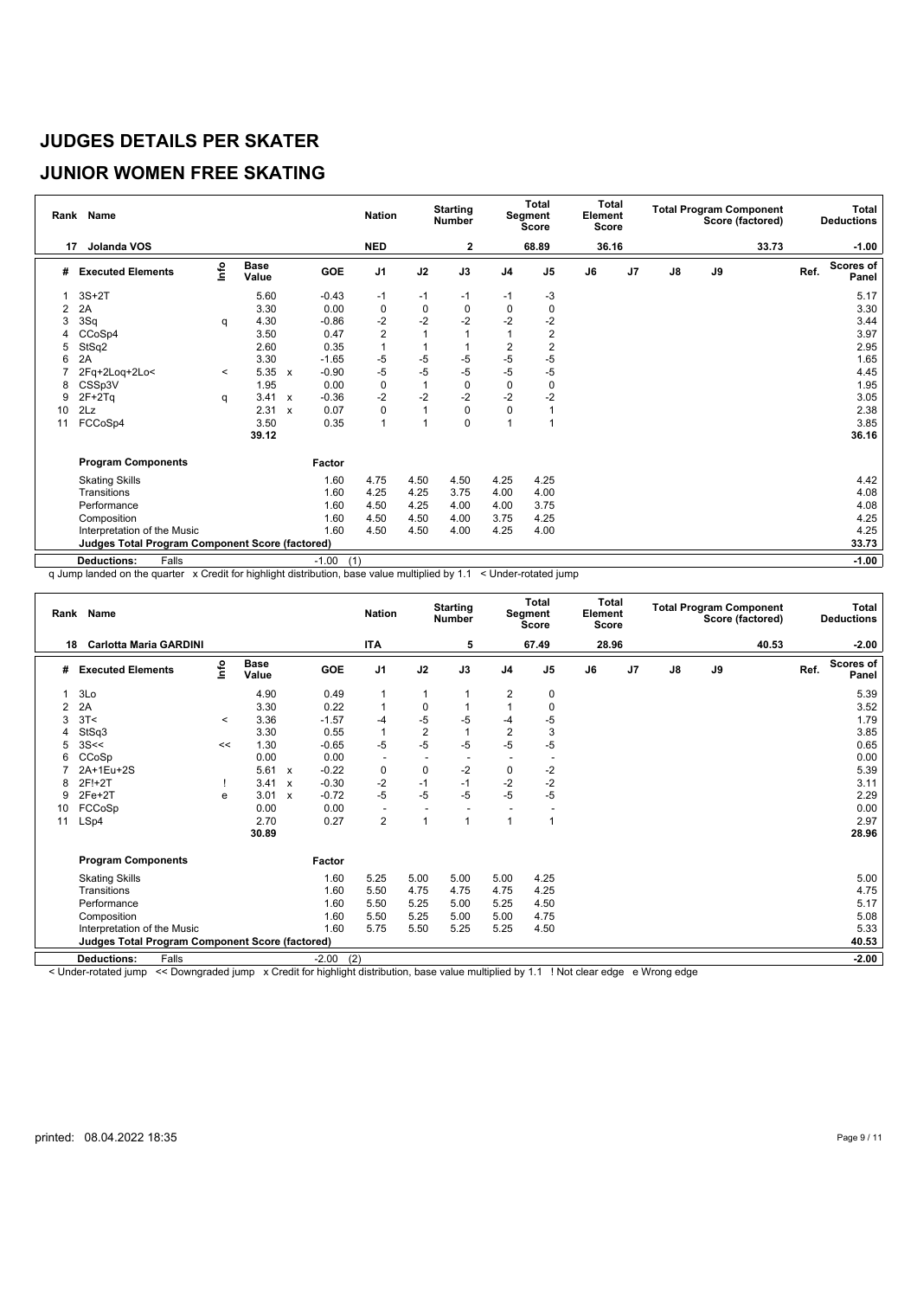# **JUNIOR WOMEN FREE SKATING**

|    | Rank Name                                              |                           |                      |                           |                | <b>Nation</b>  |      | <b>Starting</b><br><b>Number</b> |                | Total<br>Segment<br><b>Score</b> | Element<br><b>Score</b> | <b>Total</b>   |               |    | <b>Total Program Component</b><br>Score (factored) |      | Total<br><b>Deductions</b> |
|----|--------------------------------------------------------|---------------------------|----------------------|---------------------------|----------------|----------------|------|----------------------------------|----------------|----------------------------------|-------------------------|----------------|---------------|----|----------------------------------------------------|------|----------------------------|
| 17 | Jolanda VOS                                            |                           |                      |                           |                | <b>NED</b>     |      | 2                                |                | 68.89                            |                         | 36.16          |               |    | 33.73                                              |      | $-1.00$                    |
| #  | <b>Executed Elements</b>                               | $\mathsf{Int}^\mathsf{o}$ | <b>Base</b><br>Value |                           | GOE            | J <sub>1</sub> | J2   | J3                               | J <sub>4</sub> | J <sub>5</sub>                   | J6                      | J <sub>7</sub> | $\mathsf{J}8$ | J9 |                                                    | Ref. | <b>Scores of</b><br>Panel  |
|    | $3S+2T$                                                |                           | 5.60                 |                           | $-0.43$        | -1             | $-1$ | $-1$                             | $-1$           | $-3$                             |                         |                |               |    |                                                    |      | 5.17                       |
| 2  | 2A                                                     |                           | 3.30                 |                           | 0.00           | 0              | 0    | 0                                | 0              | 0                                |                         |                |               |    |                                                    |      | 3.30                       |
| 3  | 3Sq                                                    | q                         | 4.30                 |                           | $-0.86$        | $-2$           | $-2$ | $-2$                             | $-2$           | $-2$                             |                         |                |               |    |                                                    |      | 3.44                       |
|    | CCoSp4                                                 |                           | 3.50                 |                           | 0.47           | $\overline{c}$ |      |                                  |                | 2                                |                         |                |               |    |                                                    |      | 3.97                       |
| 5  | StSq2                                                  |                           | 2.60                 |                           | 0.35           | $\overline{1}$ |      |                                  | $\overline{2}$ | $\overline{2}$                   |                         |                |               |    |                                                    |      | 2.95                       |
| 6  | 2A                                                     |                           | 3.30                 |                           | $-1.65$        | $-5$           | $-5$ | $-5$                             | $-5$           | $-5$                             |                         |                |               |    |                                                    |      | 1.65                       |
|    | 2Fq+2Loq+2Lo<                                          | $\prec$                   | 5.35                 | $\mathbf{x}$              | $-0.90$        | $-5$           | $-5$ | $-5$                             | $-5$           | $-5$                             |                         |                |               |    |                                                    |      | 4.45                       |
| 8  | CSSp3V                                                 |                           | 1.95                 |                           | 0.00           | $\mathbf 0$    |      | 0                                | $\mathbf 0$    | 0                                |                         |                |               |    |                                                    |      | 1.95                       |
| 9  | $2F+2Tq$                                               | q                         | 3.41                 | $\boldsymbol{\mathsf{x}}$ | $-0.36$        | $-2$           | $-2$ | $-2$                             | $-2$           | $-2$                             |                         |                |               |    |                                                    |      | 3.05                       |
| 10 | 2Lz                                                    |                           | 2.31                 | $\mathbf{x}$              | 0.07           | $\Omega$       | 1    | 0                                | $\Omega$       |                                  |                         |                |               |    |                                                    |      | 2.38                       |
| 11 | FCCoSp4                                                |                           | 3.50                 |                           | 0.35           | 1              | 1    | 0                                | $\overline{ }$ |                                  |                         |                |               |    |                                                    |      | 3.85                       |
|    |                                                        |                           | 39.12                |                           |                |                |      |                                  |                |                                  |                         |                |               |    |                                                    |      | 36.16                      |
|    | <b>Program Components</b>                              |                           |                      |                           | Factor         |                |      |                                  |                |                                  |                         |                |               |    |                                                    |      |                            |
|    | <b>Skating Skills</b>                                  |                           |                      |                           | 1.60           | 4.75           | 4.50 | 4.50                             | 4.25           | 4.25                             |                         |                |               |    |                                                    |      | 4.42                       |
|    | Transitions                                            |                           |                      |                           | 1.60           | 4.25           | 4.25 | 3.75                             | 4.00           | 4.00                             |                         |                |               |    |                                                    |      | 4.08                       |
|    | Performance                                            |                           |                      |                           | 1.60           | 4.50           | 4.25 | 4.00                             | 4.00           | 3.75                             |                         |                |               |    |                                                    |      | 4.08                       |
|    | Composition                                            |                           |                      |                           | 1.60           | 4.50           | 4.50 | 4.00                             | 3.75           | 4.25                             |                         |                |               |    |                                                    |      | 4.25                       |
|    | Interpretation of the Music                            |                           |                      |                           | 1.60           | 4.50           | 4.50 | 4.00                             | 4.25           | 4.00                             |                         |                |               |    |                                                    |      | 4.25                       |
|    | <b>Judges Total Program Component Score (factored)</b> |                           |                      |                           |                |                |      |                                  |                |                                  |                         |                |               |    |                                                    |      | 33.73                      |
|    | <b>Deductions:</b><br>Falls                            |                           |                      |                           | $-1.00$<br>(1) |                |      |                                  |                |                                  |                         |                |               |    |                                                    |      | $-1.00$                    |

q Jump landed on the quarter x Credit for highlight distribution, base value multiplied by 1.1 < Under-rotated jump

|    | Rank Name                                              |                           |                      |                           |                | <b>Nation</b>            |                          | <b>Starting</b><br><b>Number</b> |                | Total<br>Segment<br><b>Score</b> | <b>Total</b><br>Element<br><b>Score</b> |                |               |               | <b>Total Program Component</b><br>Score (factored) |      | Total<br><b>Deductions</b> |
|----|--------------------------------------------------------|---------------------------|----------------------|---------------------------|----------------|--------------------------|--------------------------|----------------------------------|----------------|----------------------------------|-----------------------------------------|----------------|---------------|---------------|----------------------------------------------------|------|----------------------------|
| 18 | <b>Carlotta Maria GARDINI</b>                          |                           |                      |                           |                | <b>ITA</b>               |                          | 5                                |                | 67.49                            | 28.96                                   |                |               |               | 40.53                                              |      | $-2.00$                    |
| #  | <b>Executed Elements</b>                               | $\mathsf{Int} \mathsf{o}$ | <b>Base</b><br>Value |                           | GOE            | J <sub>1</sub>           | J2                       | J3                               | J <sub>4</sub> | J <sub>5</sub>                   | J6                                      | J <sub>7</sub> | $\mathsf{J}8$ | $\mathsf{J}9$ |                                                    | Ref. | <b>Scores of</b><br>Panel  |
|    | 3Lo                                                    |                           | 4.90                 |                           | 0.49           | 1                        | 1                        |                                  | 2              | 0                                |                                         |                |               |               |                                                    |      | 5.39                       |
| 2  | 2A                                                     |                           | 3.30                 |                           | 0.22           | 1                        | $\mathbf 0$              |                                  |                | 0                                |                                         |                |               |               |                                                    |      | 3.52                       |
| 3  | 3T<                                                    | $\,<\,$                   | 3.36                 |                           | $-1.57$        | $-4$                     | $-5$                     | $-5$                             | $-4$           | $-5$                             |                                         |                |               |               |                                                    |      | 1.79                       |
|    | StSq3                                                  |                           | 3.30                 |                           | 0.55           | $\mathbf{1}$             | $\overline{2}$           | $\overline{1}$                   | $\overline{2}$ | 3                                |                                         |                |               |               |                                                    |      | 3.85                       |
|    | 3S<<                                                   | <<                        | 1.30                 |                           | $-0.65$        | $-5$                     | $-5$                     | $-5$                             | $-5$           | $-5$                             |                                         |                |               |               |                                                    |      | 0.65                       |
| 6  | CCoSp                                                  |                           | 0.00                 |                           | 0.00           | $\overline{\phantom{a}}$ | $\overline{\phantom{a}}$ | $\overline{\phantom{a}}$         |                |                                  |                                         |                |               |               |                                                    |      | 0.00                       |
|    | 2A+1Eu+2S                                              |                           | 5.61                 | $\boldsymbol{\mathsf{x}}$ | $-0.22$        | 0                        | 0                        | $-2$                             | 0              | -2                               |                                         |                |               |               |                                                    |      | 5.39                       |
| 8  | 2F!+2T                                                 |                           | 3.41                 | $\boldsymbol{\mathsf{x}}$ | $-0.30$        | $-2$                     | $-1$                     | $-1$                             | $-2$           | $-2$                             |                                         |                |               |               |                                                    |      | 3.11                       |
| 9  | $2Fe+2T$                                               | e                         | 3.01                 | $\boldsymbol{\mathsf{x}}$ | $-0.72$        | $-5$                     | $-5$                     | $-5$                             | $-5$           | $-5$                             |                                         |                |               |               |                                                    |      | 2.29                       |
| 10 | FCCoSp                                                 |                           | 0.00                 |                           | 0.00           | $\overline{\phantom{a}}$ | $\overline{\phantom{a}}$ | $\overline{\phantom{a}}$         |                |                                  |                                         |                |               |               |                                                    |      | 0.00                       |
| 11 | LSp4                                                   |                           | 2.70                 |                           | 0.27           | $\overline{2}$           | 1                        | $\overline{1}$                   |                | $\overline{1}$                   |                                         |                |               |               |                                                    |      | 2.97                       |
|    |                                                        |                           | 30.89                |                           |                |                          |                          |                                  |                |                                  |                                         |                |               |               |                                                    |      | 28.96                      |
|    | <b>Program Components</b>                              |                           |                      |                           | Factor         |                          |                          |                                  |                |                                  |                                         |                |               |               |                                                    |      |                            |
|    | <b>Skating Skills</b>                                  |                           |                      |                           | 1.60           | 5.25                     | 5.00                     | 5.00                             | 5.00           | 4.25                             |                                         |                |               |               |                                                    |      | 5.00                       |
|    | Transitions                                            |                           |                      |                           | 1.60           | 5.50                     | 4.75                     | 4.75                             | 4.75           | 4.25                             |                                         |                |               |               |                                                    |      | 4.75                       |
|    | Performance                                            |                           |                      |                           | 1.60           | 5.50                     | 5.25                     | 5.00                             | 5.25           | 4.50                             |                                         |                |               |               |                                                    |      | 5.17                       |
|    | Composition                                            |                           |                      |                           | 1.60           | 5.50                     | 5.25                     | 5.00                             | 5.00           | 4.75                             |                                         |                |               |               |                                                    |      | 5.08                       |
|    | Interpretation of the Music                            |                           |                      |                           | 1.60           | 5.75                     | 5.50                     | 5.25                             | 5.25           | 4.50                             |                                         |                |               |               |                                                    |      | 5.33                       |
|    | <b>Judges Total Program Component Score (factored)</b> |                           |                      |                           |                |                          |                          |                                  |                |                                  |                                         |                |               |               |                                                    |      | 40.53                      |
|    | <b>Deductions:</b><br>Falls                            |                           |                      |                           | (2)<br>$-2.00$ |                          |                          |                                  |                |                                  |                                         |                |               |               |                                                    |      | $-2.00$                    |

< Under-rotated jump << Downgraded jump x Credit for highlight distribution, base value multiplied by 1.1 ! Not clear edge e Wrong edge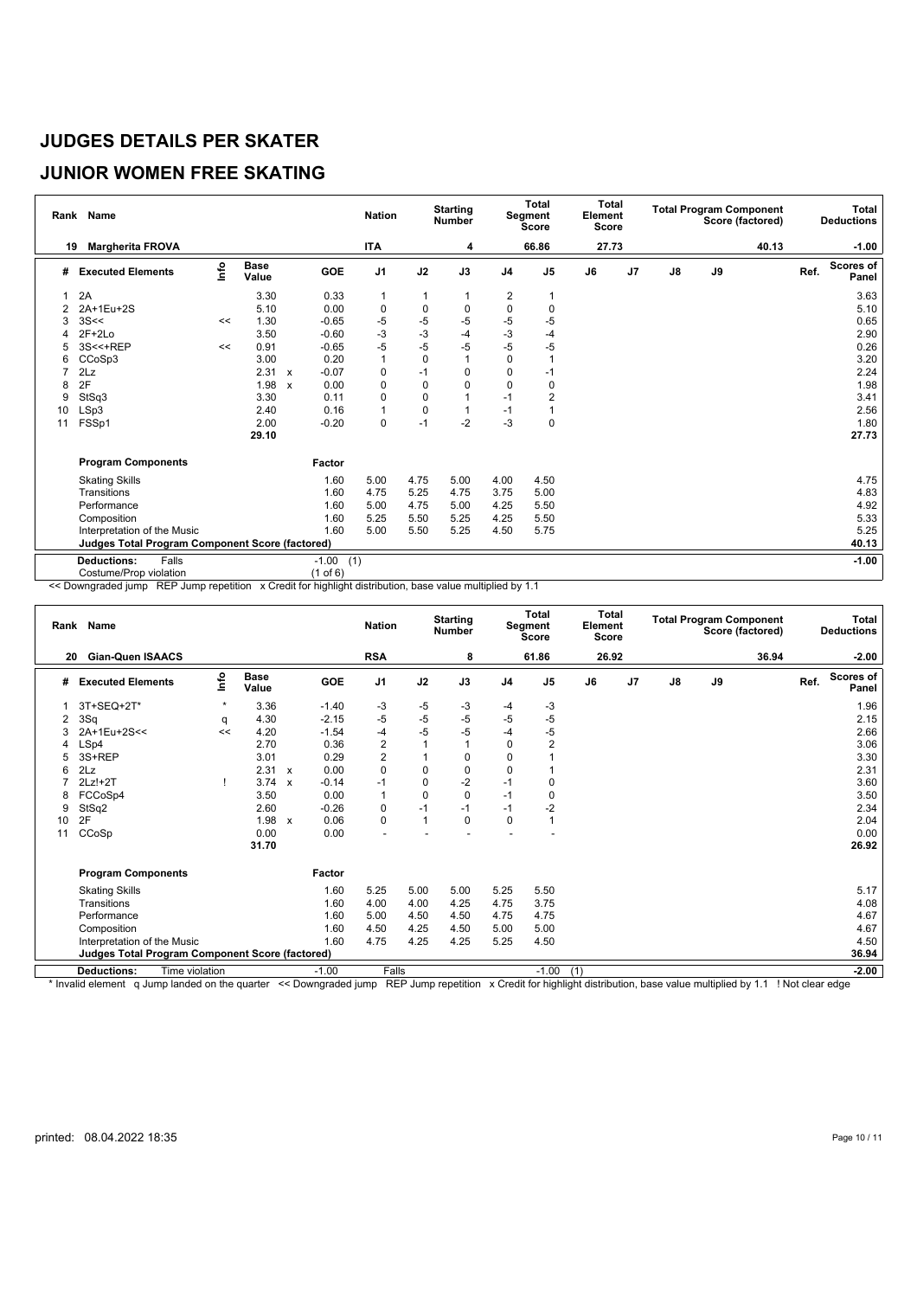### **JUNIOR WOMEN FREE SKATING**

|    | Rank Name                                              |      |                      |              |                | <b>Nation</b>  |             | <b>Starting</b><br><b>Number</b> |                | Total<br>Segment<br><b>Score</b> | <b>Total</b><br>Element<br><b>Score</b> |    |               |    | <b>Total Program Component</b><br>Score (factored) |      | <b>Total</b><br><b>Deductions</b> |
|----|--------------------------------------------------------|------|----------------------|--------------|----------------|----------------|-------------|----------------------------------|----------------|----------------------------------|-----------------------------------------|----|---------------|----|----------------------------------------------------|------|-----------------------------------|
| 19 | <b>Margherita FROVA</b>                                |      |                      |              |                | <b>ITA</b>     |             | 4                                |                | 66.86                            | 27.73                                   |    |               |    | 40.13                                              |      | $-1.00$                           |
| #  | <b>Executed Elements</b>                               | Info | <b>Base</b><br>Value |              | <b>GOE</b>     | J <sub>1</sub> | J2          | J3                               | J <sub>4</sub> | J <sub>5</sub>                   | J6                                      | J7 | $\mathsf{J}8$ | J9 |                                                    | Ref. | <b>Scores of</b><br>Panel         |
|    | 2A                                                     |      | 3.30                 |              | 0.33           | $\mathbf 1$    | 1           | 1                                | 2              |                                  |                                         |    |               |    |                                                    |      | 3.63                              |
| 2  | 2A+1Eu+2S                                              |      | 5.10                 |              | 0.00           | 0              | 0           | 0                                | $\mathbf{0}$   | 0                                |                                         |    |               |    |                                                    |      | 5.10                              |
| 3  | 3S<<                                                   | <<   | 1.30                 |              | $-0.65$        | -5             | $-5$        | $-5$                             | -5             | -5                               |                                         |    |               |    |                                                    |      | 0.65                              |
|    | $2F+2Lo$                                               |      | 3.50                 |              | $-0.60$        | $-3$           | $-3$        | $-4$                             | $-3$           | $-4$                             |                                         |    |               |    |                                                    |      | 2.90                              |
| 5  | 3S<<+REP                                               | <<   | 0.91                 |              | $-0.65$        | $-5$           | $-5$        | $-5$                             | $-5$           | $-5$                             |                                         |    |               |    |                                                    |      | 0.26                              |
| 6  | CCoSp3                                                 |      | 3.00                 |              | 0.20           | $\mathbf{1}$   | $\mathbf 0$ | 1                                | $\Omega$       |                                  |                                         |    |               |    |                                                    |      | 3.20                              |
| 7  | 2Lz                                                    |      | 2.31                 | $\mathbf{x}$ | $-0.07$        | $\mathbf 0$    | $-1$        | 0                                | 0              | $-1$                             |                                         |    |               |    |                                                    |      | 2.24                              |
| 8  | 2F                                                     |      | 1.98                 | $\mathbf{x}$ | 0.00           | $\Omega$       | $\Omega$    | 0                                | $\Omega$       | $\Omega$                         |                                         |    |               |    |                                                    |      | 1.98                              |
| 9  | StSq3                                                  |      | 3.30                 |              | 0.11           | 0              | 0           | 1                                | $-1$           | 2                                |                                         |    |               |    |                                                    |      | 3.41                              |
| 10 | LSp3                                                   |      | 2.40                 |              | 0.16           | $\overline{1}$ | 0           | 1                                | $-1$           |                                  |                                         |    |               |    |                                                    |      | 2.56                              |
| 11 | FSSp1                                                  |      | 2.00                 |              | $-0.20$        | $\mathbf 0$    | $-1$        | $-2$                             | $-3$           | $\mathbf 0$                      |                                         |    |               |    |                                                    |      | 1.80                              |
|    |                                                        |      | 29.10                |              |                |                |             |                                  |                |                                  |                                         |    |               |    |                                                    |      | 27.73                             |
|    | <b>Program Components</b>                              |      |                      |              | Factor         |                |             |                                  |                |                                  |                                         |    |               |    |                                                    |      |                                   |
|    | <b>Skating Skills</b>                                  |      |                      |              | 1.60           | 5.00           | 4.75        | 5.00                             | 4.00           | 4.50                             |                                         |    |               |    |                                                    |      | 4.75                              |
|    | Transitions                                            |      |                      |              | 1.60           | 4.75           | 5.25        | 4.75                             | 3.75           | 5.00                             |                                         |    |               |    |                                                    |      | 4.83                              |
|    | Performance                                            |      |                      |              | 1.60           | 5.00           | 4.75        | 5.00                             | 4.25           | 5.50                             |                                         |    |               |    |                                                    |      | 4.92                              |
|    | Composition                                            |      |                      |              | 1.60           | 5.25           | 5.50        | 5.25                             | 4.25           | 5.50                             |                                         |    |               |    |                                                    |      | 5.33                              |
|    | Interpretation of the Music                            |      |                      |              | 1.60           | 5.00           | 5.50        | 5.25                             | 4.50           | 5.75                             |                                         |    |               |    |                                                    |      | 5.25                              |
|    | <b>Judges Total Program Component Score (factored)</b> |      |                      |              |                |                |             |                                  |                |                                  |                                         |    |               |    |                                                    |      | 40.13                             |
|    | Falls<br><b>Deductions:</b>                            |      |                      |              | $-1.00$<br>(1) |                |             |                                  |                |                                  |                                         |    |               |    |                                                    |      | $-1.00$                           |
|    | Costume/Prop violation                                 |      |                      |              | (1 of 6)       |                |             |                                  |                |                                  |                                         |    |               |    |                                                    |      |                                   |

<< Downgraded jump REP Jump repetition x Credit for highlight distribution, base value multiplied by 1.1

|    | Rank Name                                              |                |                      |                           |         | <b>Nation</b>           |              | <b>Starting</b><br><b>Number</b> |                | <b>Total</b><br>Segment<br><b>Score</b> | Element | <b>Total</b><br><b>Score</b> |    |    | <b>Total Program Component</b><br>Score (factored) |      | Total<br><b>Deductions</b> |
|----|--------------------------------------------------------|----------------|----------------------|---------------------------|---------|-------------------------|--------------|----------------------------------|----------------|-----------------------------------------|---------|------------------------------|----|----|----------------------------------------------------|------|----------------------------|
| 20 | <b>Gian-Quen ISAACS</b>                                |                |                      |                           |         | <b>RSA</b>              |              | 8                                |                | 61.86                                   |         | 26.92                        |    |    | 36.94                                              |      | $-2.00$                    |
| #  | <b>Executed Elements</b>                               | ۴o             | <b>Base</b><br>Value |                           | GOE     | J <sub>1</sub>          | J2           | J3                               | J <sub>4</sub> | J <sub>5</sub>                          | J6      | J <sub>7</sub>               | J8 | J9 |                                                    | Ref. | <b>Scores of</b><br>Panel  |
|    | 3T+SEQ+2T*                                             | $\star$        | 3.36                 |                           | $-1.40$ | $-3$                    | $-5$         | -3                               | -4             | -3                                      |         |                              |    |    |                                                    |      | 1.96                       |
| 2  | 3Sq                                                    | q              | 4.30                 |                           | $-2.15$ | $-5$                    | $-5$         | $-5$                             | $-5$           | $-5$                                    |         |                              |    |    |                                                    |      | 2.15                       |
| 3  | 2A+1Eu+2S<<                                            | <<             | 4.20                 |                           | $-1.54$ | -4                      | $-5$         | $-5$                             | -4             | -5                                      |         |                              |    |    |                                                    |      | 2.66                       |
|    | LSp4                                                   |                | 2.70                 |                           | 0.36    | $\overline{\mathbf{c}}$ |              |                                  | 0              | 2                                       |         |                              |    |    |                                                    |      | 3.06                       |
|    | 3S+REP                                                 |                | 3.01                 |                           | 0.29    | $\overline{2}$          |              | $\Omega$                         | $\Omega$       |                                         |         |                              |    |    |                                                    |      | 3.30                       |
| 6  | 2Lz                                                    |                | 2.31                 | $\mathbf{x}$              | 0.00    | $\mathbf 0$             | 0            | 0                                | $\Omega$       |                                         |         |                              |    |    |                                                    |      | 2.31                       |
|    | $2Lz!+2T$                                              |                | 3.74                 | $\boldsymbol{\mathsf{x}}$ | $-0.14$ | $-1$                    | 0            | $-2$                             | $-1$           | 0                                       |         |                              |    |    |                                                    |      | 3.60                       |
| 8  | FCCoSp4                                                |                | 3.50                 |                           | 0.00    | $\overline{1}$          | $\Omega$     | $\Omega$                         | $-1$           | 0                                       |         |                              |    |    |                                                    |      | 3.50                       |
| 9  | StSq2                                                  |                | 2.60                 |                           | $-0.26$ | 0                       | $-1$         | $-1$                             | $-1$           | -2                                      |         |                              |    |    |                                                    |      | 2.34                       |
| 10 | 2F                                                     |                | 1.98 $x$             |                           | 0.06    | $\Omega$                | $\mathbf{1}$ | $\Omega$                         | $\Omega$       | 1                                       |         |                              |    |    |                                                    |      | 2.04                       |
| 11 | CCoSp                                                  |                | 0.00                 |                           | 0.00    |                         |              |                                  |                |                                         |         |                              |    |    |                                                    |      | 0.00                       |
|    |                                                        |                | 31.70                |                           |         |                         |              |                                  |                |                                         |         |                              |    |    |                                                    |      | 26.92                      |
|    | <b>Program Components</b>                              |                |                      |                           | Factor  |                         |              |                                  |                |                                         |         |                              |    |    |                                                    |      |                            |
|    | <b>Skating Skills</b>                                  |                |                      |                           | 1.60    | 5.25                    | 5.00         | 5.00                             | 5.25           | 5.50                                    |         |                              |    |    |                                                    |      | 5.17                       |
|    | Transitions                                            |                |                      |                           | 1.60    | 4.00                    | 4.00         | 4.25                             | 4.75           | 3.75                                    |         |                              |    |    |                                                    |      | 4.08                       |
|    | Performance                                            |                |                      |                           | 1.60    | 5.00                    | 4.50         | 4.50                             | 4.75           | 4.75                                    |         |                              |    |    |                                                    |      | 4.67                       |
|    | Composition                                            |                |                      |                           | 1.60    | 4.50                    | 4.25         | 4.50                             | 5.00           | 5.00                                    |         |                              |    |    |                                                    |      | 4.67                       |
|    | Interpretation of the Music                            |                |                      |                           | 1.60    | 4.75                    | 4.25         | 4.25                             | 5.25           | 4.50                                    |         |                              |    |    |                                                    |      | 4.50                       |
|    | <b>Judges Total Program Component Score (factored)</b> |                |                      |                           |         |                         |              |                                  |                |                                         |         |                              |    |    |                                                    |      | 36.94                      |
|    | <b>Deductions:</b>                                     | Time violation |                      |                           | $-1.00$ | Falls                   |              |                                  |                | $-1.00$                                 | (1)     |                              |    |    |                                                    |      | $-2.00$                    |

\* Invalid element q Jump landed on the quarter << Downgraded jump REP Jump repetition x Credit for highlight distribution, base value multiplied by 1.1 ! Not clear edge